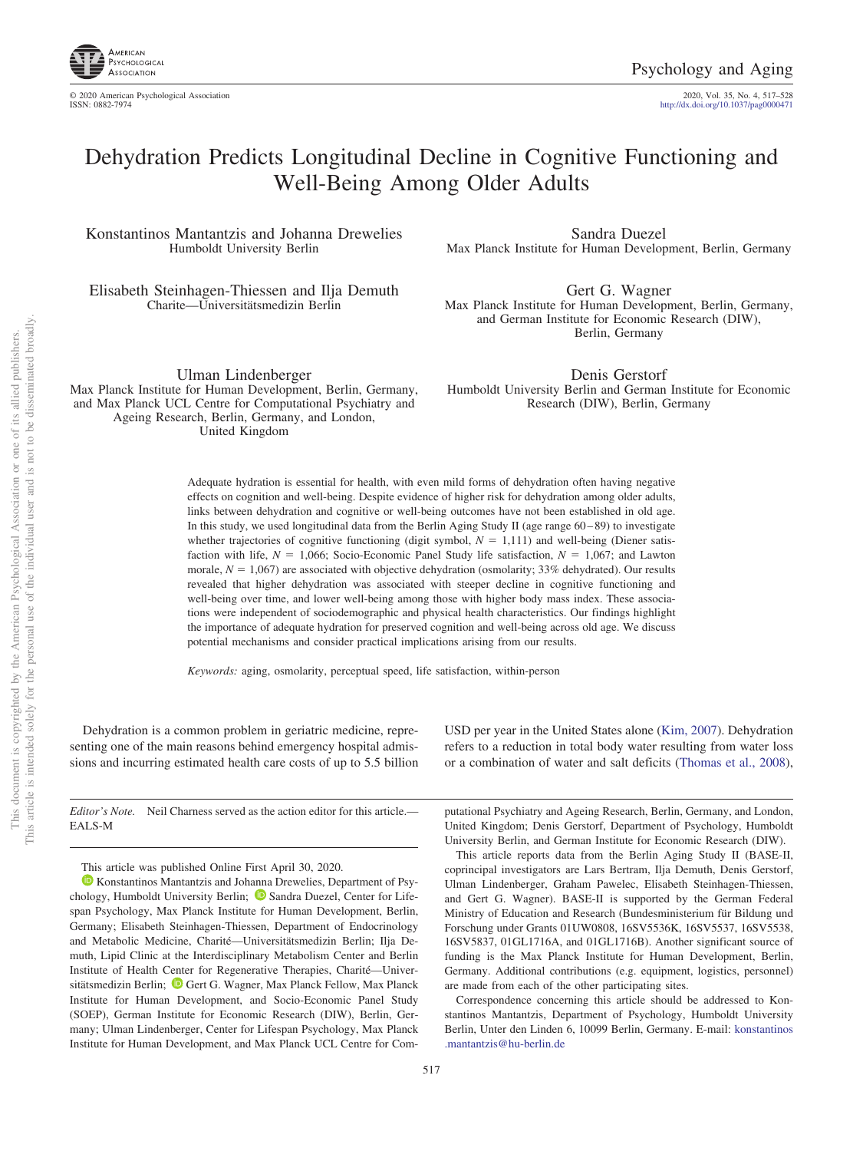

http://dx.doi.org[/10.1037/pag0000471](http://dx.doi.org/10.1037/pag0000471)

# Dehydration Predicts Longitudinal Decline in Cognitive Functioning and Well-Being Among Older Adults

Konstantinos Mantantzis and Johanna Drewelies Humboldt University Berlin

Elisabeth Steinhagen-Thiessen and Ilja Demuth Charite—Universitätsmedizin Berlin

Sandra Duezel Max Planck Institute for Human Development, Berlin, Germany

Gert G. Wagner Max Planck Institute for Human Development, Berlin, Germany, and German Institute for Economic Research (DIW), Berlin, Germany

Ulman Lindenberger Max Planck Institute for Human Development, Berlin, Germany, and Max Planck UCL Centre for Computational Psychiatry and Ageing Research, Berlin, Germany, and London, United Kingdom

Denis Gerstorf Humboldt University Berlin and German Institute for Economic Research (DIW), Berlin, Germany

Adequate hydration is essential for health, with even mild forms of dehydration often having negative effects on cognition and well-being. Despite evidence of higher risk for dehydration among older adults, links between dehydration and cognitive or well-being outcomes have not been established in old age. In this study, we used longitudinal data from the Berlin Aging Study II (age range 60–89) to investigate whether trajectories of cognitive functioning (digit symbol,  $N = 1,111$ ) and well-being (Diener satisfaction with life,  $N = 1,066$ ; Socio-Economic Panel Study life satisfaction,  $N = 1,067$ ; and Lawton morale,  $N = 1,067$ ) are associated with objective dehydration (osmolarity; 33% dehydrated). Our results revealed that higher dehydration was associated with steeper decline in cognitive functioning and well-being over time, and lower well-being among those with higher body mass index. These associations were independent of sociodemographic and physical health characteristics. Our findings highlight the importance of adequate hydration for preserved cognition and well-being across old age. We discuss potential mechanisms and consider practical implications arising from our results.

*Keywords:* aging, osmolarity, perceptual speed, life satisfaction, within-person

Dehydration is a common problem in geriatric medicine, representing one of the main reasons behind emergency hospital admissions and incurring estimated health care costs of up to 5.5 billion

*Editor's Note.* Neil Charness served as the action editor for this article.— EALS-M

This article was published Online First April 30, 2020.

<sup>1</sup> [Konstantinos Mantantzis](https://orcid.org/0000-0002-6417-9527) and Johanna Drewelies, Department of Psy-chology, Humboldt University Berlin; <sup>1</sup> [Sandra Duezel,](https://orcid.org/0000-0001-7179-2664) Center for Lifespan Psychology, Max Planck Institute for Human Development, Berlin, Germany; Elisabeth Steinhagen-Thiessen, Department of Endocrinology and Metabolic Medicine, Charité—Universitätsmedizin Berlin; Ilja Demuth, Lipid Clinic at the Interdisciplinary Metabolism Center and Berlin Institute of Health Center for Regenerative Therapies, Charité—Univer-sitätsmedizin Berlin; <sup>1</sup> [Gert G. Wagner,](https://orcid.org/0000-0002-5985-4073) Max Planck Fellow, Max Planck Institute for Human Development, and Socio-Economic Panel Study (SOEP), German Institute for Economic Research (DIW), Berlin, Germany; Ulman Lindenberger, Center for Lifespan Psychology, Max Planck Institute for Human Development, and Max Planck UCL Centre for Com-

USD per year in the United States alone [\(Kim, 2007\)](#page-10-0). Dehydration refers to a reduction in total body water resulting from water loss or a combination of water and salt deficits [\(Thomas et al., 2008\)](#page-10-1),

putational Psychiatry and Ageing Research, Berlin, Germany, and London, United Kingdom; Denis Gerstorf, Department of Psychology, Humboldt University Berlin, and German Institute for Economic Research (DIW).

This article reports data from the Berlin Aging Study II (BASE-II, coprincipal investigators are Lars Bertram, Ilja Demuth, Denis Gerstorf, Ulman Lindenberger, Graham Pawelec, Elisabeth Steinhagen-Thiessen, and Gert G. Wagner). BASE-II is supported by the German Federal Ministry of Education and Research (Bundesministerium für Bildung und Forschung under Grants 01UW0808, 16SV5536K, 16SV5537, 16SV5538, 16SV5837, 01GL1716A, and 01GL1716B). Another significant source of funding is the Max Planck Institute for Human Development, Berlin, Germany. Additional contributions (e.g. equipment, logistics, personnel) are made from each of the other participating sites.

Correspondence concerning this article should be addressed to Konstantinos Mantantzis, Department of Psychology, Humboldt University Berlin, Unter den Linden 6, 10099 Berlin, Germany. E-mail: [konstantinos](mailto:konstantinos.mantantzis@hu-berlin.de) [.mantantzis@hu-berlin.de](mailto:konstantinos.mantantzis@hu-berlin.de)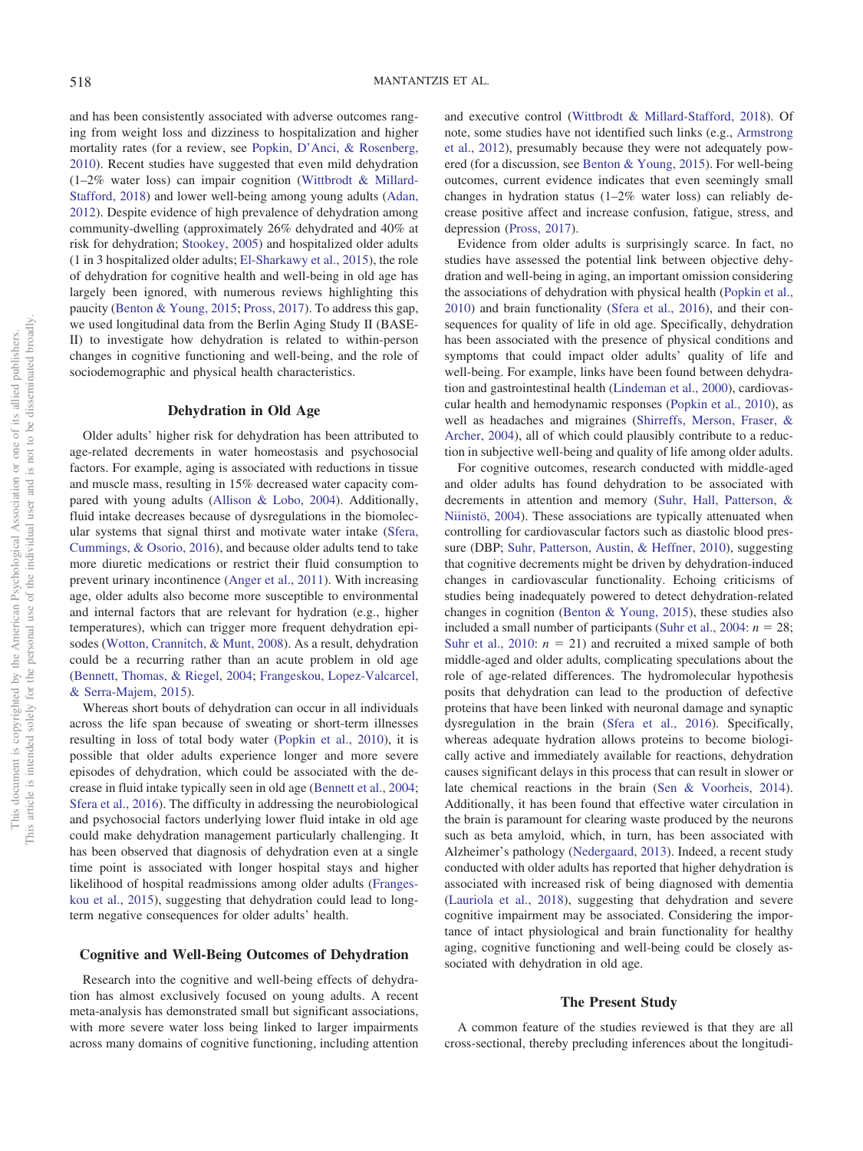and has been consistently associated with adverse outcomes ranging from weight loss and dizziness to hospitalization and higher mortality rates (for a review, see [Popkin, D'Anci, & Rosenberg,](#page-10-2) [2010\)](#page-10-2). Recent studies have suggested that even mild dehydration (1–2% water loss) can impair cognition [\(Wittbrodt & Millard-](#page-11-0)[Stafford, 2018\)](#page-11-0) and lower well-being among young adults [\(Adan,](#page-9-0) [2012\)](#page-9-0). Despite evidence of high prevalence of dehydration among community-dwelling (approximately 26% dehydrated and 40% at risk for dehydration; [Stookey, 2005\)](#page-10-3) and hospitalized older adults (1 in 3 hospitalized older adults; [El-Sharkawy et al., 2015\)](#page-10-4), the role of dehydration for cognitive health and well-being in old age has largely been ignored, with numerous reviews highlighting this paucity [\(Benton & Young, 2015;](#page-9-1) [Pross, 2017\)](#page-10-5). To address this gap, we used longitudinal data from the Berlin Aging Study II (BASE-II) to investigate how dehydration is related to within-person changes in cognitive functioning and well-being, and the role of sociodemographic and physical health characteristics.

# **Dehydration in Old Age**

Older adults' higher risk for dehydration has been attributed to age-related decrements in water homeostasis and psychosocial factors. For example, aging is associated with reductions in tissue and muscle mass, resulting in 15% decreased water capacity compared with young adults [\(Allison & Lobo, 2004\)](#page-9-2). Additionally, fluid intake decreases because of dysregulations in the biomolecular systems that signal thirst and motivate water intake [\(Sfera,](#page-10-6) [Cummings, & Osorio, 2016\)](#page-10-6), and because older adults tend to take more diuretic medications or restrict their fluid consumption to prevent urinary incontinence [\(Anger et al., 2011\)](#page-9-3). With increasing age, older adults also become more susceptible to environmental and internal factors that are relevant for hydration (e.g., higher temperatures), which can trigger more frequent dehydration episodes [\(Wotton, Crannitch, & Munt, 2008\)](#page-11-1). As a result, dehydration could be a recurring rather than an acute problem in old age [\(Bennett, Thomas, & Riegel, 2004;](#page-9-4) [Frangeskou, Lopez-Valcarcel,](#page-10-7) [& Serra-Majem, 2015\)](#page-10-7).

Whereas short bouts of dehydration can occur in all individuals across the life span because of sweating or short-term illnesses resulting in loss of total body water [\(Popkin et al., 2010\)](#page-10-2), it is possible that older adults experience longer and more severe episodes of dehydration, which could be associated with the decrease in fluid intake typically seen in old age [\(Bennett et al., 2004;](#page-9-4) [Sfera et al., 2016\)](#page-10-6). The difficulty in addressing the neurobiological and psychosocial factors underlying lower fluid intake in old age could make dehydration management particularly challenging. It has been observed that diagnosis of dehydration even at a single time point is associated with longer hospital stays and higher likelihood of hospital readmissions among older adults [\(Franges](#page-10-7)[kou et al., 2015\)](#page-10-7), suggesting that dehydration could lead to longterm negative consequences for older adults' health.

#### **Cognitive and Well-Being Outcomes of Dehydration**

Research into the cognitive and well-being effects of dehydration has almost exclusively focused on young adults. A recent meta-analysis has demonstrated small but significant associations, with more severe water loss being linked to larger impairments across many domains of cognitive functioning, including attention

and executive control [\(Wittbrodt & Millard-Stafford, 2018\)](#page-11-0). Of note, some studies have not identified such links (e.g., [Armstrong](#page-9-5) [et al., 2012\)](#page-9-5), presumably because they were not adequately powered (for a discussion, see [Benton & Young, 2015\)](#page-9-1). For well-being outcomes, current evidence indicates that even seemingly small changes in hydration status (1–2% water loss) can reliably decrease positive affect and increase confusion, fatigue, stress, and depression [\(Pross, 2017\)](#page-10-5).

Evidence from older adults is surprisingly scarce. In fact, no studies have assessed the potential link between objective dehydration and well-being in aging, an important omission considering the associations of dehydration with physical health [\(Popkin et al.,](#page-10-2) [2010\)](#page-10-2) and brain functionality [\(Sfera et al., 2016\)](#page-10-6), and their consequences for quality of life in old age. Specifically, dehydration has been associated with the presence of physical conditions and symptoms that could impact older adults' quality of life and well-being. For example, links have been found between dehydration and gastrointestinal health [\(Lindeman et al., 2000\)](#page-10-8), cardiovascular health and hemodynamic responses [\(Popkin et al., 2010\)](#page-10-2), as well as headaches and migraines [\(Shirreffs, Merson, Fraser, &](#page-10-9) [Archer, 2004\)](#page-10-9), all of which could plausibly contribute to a reduction in subjective well-being and quality of life among older adults.

For cognitive outcomes, research conducted with middle-aged and older adults has found dehydration to be associated with decrements in attention and memory [\(Suhr, Hall, Patterson, &](#page-10-10) [Niinistö, 2004\)](#page-10-10). These associations are typically attenuated when controlling for cardiovascular factors such as diastolic blood pressure (DBP; [Suhr, Patterson, Austin, & Heffner, 2010\)](#page-10-11), suggesting that cognitive decrements might be driven by dehydration-induced changes in cardiovascular functionality. Echoing criticisms of studies being inadequately powered to detect dehydration-related changes in cognition [\(Benton & Young, 2015\)](#page-9-1), these studies also included a small number of participants [\(Suhr et al., 2004:](#page-10-10)  $n = 28$ ; [Suhr et al., 2010:](#page-10-11)  $n = 21$ ) and recruited a mixed sample of both middle-aged and older adults, complicating speculations about the role of age-related differences. The hydromolecular hypothesis posits that dehydration can lead to the production of defective proteins that have been linked with neuronal damage and synaptic dysregulation in the brain [\(Sfera et al., 2016\)](#page-10-6). Specifically, whereas adequate hydration allows proteins to become biologically active and immediately available for reactions, dehydration causes significant delays in this process that can result in slower or late chemical reactions in the brain [\(Sen & Voorheis, 2014\)](#page-10-12). Additionally, it has been found that effective water circulation in the brain is paramount for clearing waste produced by the neurons such as beta amyloid, which, in turn, has been associated with Alzheimer's pathology [\(Nedergaard, 2013\)](#page-10-13). Indeed, a recent study conducted with older adults has reported that higher dehydration is associated with increased risk of being diagnosed with dementia [\(Lauriola et al., 2018\)](#page-10-14), suggesting that dehydration and severe cognitive impairment may be associated. Considering the importance of intact physiological and brain functionality for healthy aging, cognitive functioning and well-being could be closely associated with dehydration in old age.

# **The Present Study**

A common feature of the studies reviewed is that they are all cross-sectional, thereby precluding inferences about the longitudi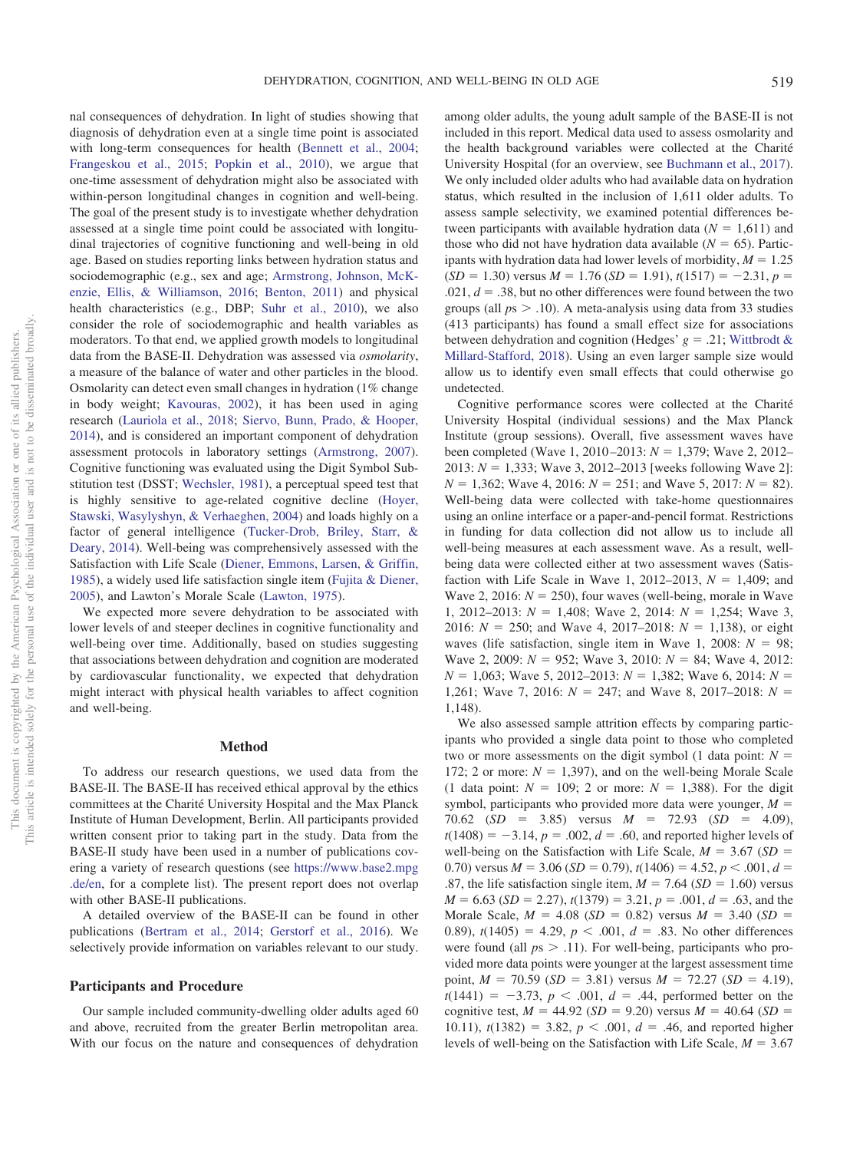nal consequences of dehydration. In light of studies showing that diagnosis of dehydration even at a single time point is associated with long-term consequences for health [\(Bennett et al., 2004;](#page-9-4) [Frangeskou et al., 2015;](#page-10-7) [Popkin et al., 2010\)](#page-10-2), we argue that one-time assessment of dehydration might also be associated with within-person longitudinal changes in cognition and well-being. The goal of the present study is to investigate whether dehydration assessed at a single time point could be associated with longitudinal trajectories of cognitive functioning and well-being in old age. Based on studies reporting links between hydration status and sociodemographic (e.g., sex and age; [Armstrong, Johnson, McK](#page-9-6)[enzie, Ellis, & Williamson, 2016;](#page-9-6) [Benton, 2011\)](#page-9-7) and physical health characteristics (e.g., DBP; [Suhr et al., 2010\)](#page-10-11), we also consider the role of sociodemographic and health variables as moderators. To that end, we applied growth models to longitudinal data from the BASE-II. Dehydration was assessed via *osmolarity*, a measure of the balance of water and other particles in the blood. Osmolarity can detect even small changes in hydration (1% change in body weight; [Kavouras, 2002\)](#page-10-15), it has been used in aging research [\(Lauriola et al., 2018;](#page-10-14) [Siervo, Bunn, Prado, & Hooper,](#page-10-16) [2014\)](#page-10-16), and is considered an important component of dehydration assessment protocols in laboratory settings [\(Armstrong, 2007\)](#page-9-8). Cognitive functioning was evaluated using the Digit Symbol Substitution test (DSST; [Wechsler, 1981\)](#page-10-17), a perceptual speed test that is highly sensitive to age-related cognitive decline [\(Hoyer,](#page-10-18) [Stawski, Wasylyshyn, & Verhaeghen, 2004\)](#page-10-18) and loads highly on a factor of general intelligence [\(Tucker-Drob, Briley, Starr, &](#page-10-19) [Deary, 2014\)](#page-10-19). Well-being was comprehensively assessed with the Satisfaction with Life Scale [\(Diener, Emmons, Larsen, & Griffin,](#page-10-20) [1985\)](#page-10-20), a widely used life satisfaction single item [\(Fujita & Diener,](#page-10-21) [2005\)](#page-10-21), and Lawton's Morale Scale [\(Lawton, 1975\)](#page-10-22).

We expected more severe dehydration to be associated with lower levels of and steeper declines in cognitive functionality and well-being over time. Additionally, based on studies suggesting that associations between dehydration and cognition are moderated by cardiovascular functionality, we expected that dehydration might interact with physical health variables to affect cognition and well-being.

# **Method**

To address our research questions, we used data from the BASE-II. The BASE-II has received ethical approval by the ethics committees at the Charité University Hospital and the Max Planck Institute of Human Development, Berlin. All participants provided written consent prior to taking part in the study. Data from the BASE-II study have been used in a number of publications covering a variety of research questions (see [https://www.base2.mpg](https://www.base2.mpg.de/en) [.de/en,](https://www.base2.mpg.de/en) for a complete list). The present report does not overlap with other BASE-II publications.

A detailed overview of the BASE-II can be found in other publications [\(Bertram et al., 2014;](#page-9-9) [Gerstorf et al., 2016\)](#page-10-23). We selectively provide information on variables relevant to our study.

# **Participants and Procedure**

Our sample included community-dwelling older adults aged 60 and above, recruited from the greater Berlin metropolitan area. With our focus on the nature and consequences of dehydration

among older adults, the young adult sample of the BASE-II is not included in this report. Medical data used to assess osmolarity and the health background variables were collected at the Charité University Hospital (for an overview, see [Buchmann et al., 2017\)](#page-9-10). We only included older adults who had available data on hydration status, which resulted in the inclusion of 1,611 older adults. To assess sample selectivity, we examined potential differences between participants with available hydration data  $(N = 1,611)$  and those who did not have hydration data available  $(N = 65)$ . Participants with hydration data had lower levels of morbidity,  $M = 1.25$  $(SD = 1.30)$  versus  $M = 1.76$  ( $SD = 1.91$ ),  $t(1517) = -2.31$ ,  $p =$  $.021, d = .38$ , but no other differences were found between the two groups (all  $ps > .10$ ). A meta-analysis using data from 33 studies (413 participants) has found a small effect size for associations between dehydration and cognition (Hedges'  $g = .21$ ; [Wittbrodt &](#page-11-0) [Millard-Stafford, 2018\)](#page-11-0). Using an even larger sample size would allow us to identify even small effects that could otherwise go undetected.

Cognitive performance scores were collected at the Charité University Hospital (individual sessions) and the Max Planck Institute (group sessions). Overall, five assessment waves have been completed (Wave 1, 2010–2013: *N* = 1,379; Wave 2, 2012– 2013: *N* - 1,333; Wave 3, 2012–2013 [weeks following Wave 2]:  $N = 1,362$ ; Wave 4, 2016:  $N = 251$ ; and Wave 5, 2017:  $N = 82$ ). Well-being data were collected with take-home questionnaires using an online interface or a paper-and-pencil format. Restrictions in funding for data collection did not allow us to include all well-being measures at each assessment wave. As a result, wellbeing data were collected either at two assessment waves (Satisfaction with Life Scale in Wave 1, 2012–2013,  $N = 1,409$ ; and Wave 2, 2016:  $N = 250$ ), four waves (well-being, morale in Wave 1, 2012–2013: *N* - 1,408; Wave 2, 2014: *N* - 1,254; Wave 3, 2016:  $N = 250$ ; and Wave 4, 2017–2018:  $N = 1,138$ ), or eight waves (life satisfaction, single item in Wave 1, 2008:  $N = 98$ ; Wave 2, 2009: *N* - 952; Wave 3, 2010: *N* - 84; Wave 4, 2012:  $N = 1,063$ ; Wave 5, 2012–2013:  $N = 1,382$ ; Wave 6, 2014:  $N =$ 1,261; Wave 7, 2016:  $N = 247$ ; and Wave 8, 2017–2018:  $N =$ 1,148).

We also assessed sample attrition effects by comparing participants who provided a single data point to those who completed two or more assessments on the digit symbol (1 data point:  $N =$ 172; 2 or more:  $N = 1,397$ ), and on the well-being Morale Scale  $(1$  data point:  $N = 109$ ; 2 or more:  $N = 1,388$ ). For the digit symbol, participants who provided more data were younger,  $M =$ 70.62  $(SD = 3.85)$  versus  $M = 72.93$   $(SD = 4.09)$ ,  $t(1408) = -3.14, p = .002, d = .60$ , and reported higher levels of well-being on the Satisfaction with Life Scale,  $M = 3.67$  ( $SD =$ 0.70) versus  $M = 3.06$  (*SD* = 0.79),  $t(1406) = 4.52$ ,  $p < .001$ ,  $d =$ .87, the life satisfaction single item,  $M = 7.64$  ( $SD = 1.60$ ) versus  $M = 6.63$  (*SD* = 2.27),  $t(1379) = 3.21$ ,  $p = .001$ ,  $d = .63$ , and the Morale Scale,  $M = 4.08$  (*SD* = 0.82) versus  $M = 3.40$  (*SD* = 0.89),  $t(1405) = 4.29$ ,  $p < .001$ ,  $d = .83$ . No other differences were found (all  $p_s > .11$ ). For well-being, participants who provided more data points were younger at the largest assessment time point,  $M = 70.59$  (*SD* = 3.81) versus  $M = 72.27$  (*SD* = 4.19),  $t(1441) = -3.73, p < .001, d = .44, performed better on the$ cognitive test,  $M = 44.92$  (*SD* = 9.20) versus  $M = 40.64$  (*SD* = 10.11),  $t(1382) = 3.82$ ,  $p < .001$ ,  $d = .46$ , and reported higher levels of well-being on the Satisfaction with Life Scale,  $M = 3.67$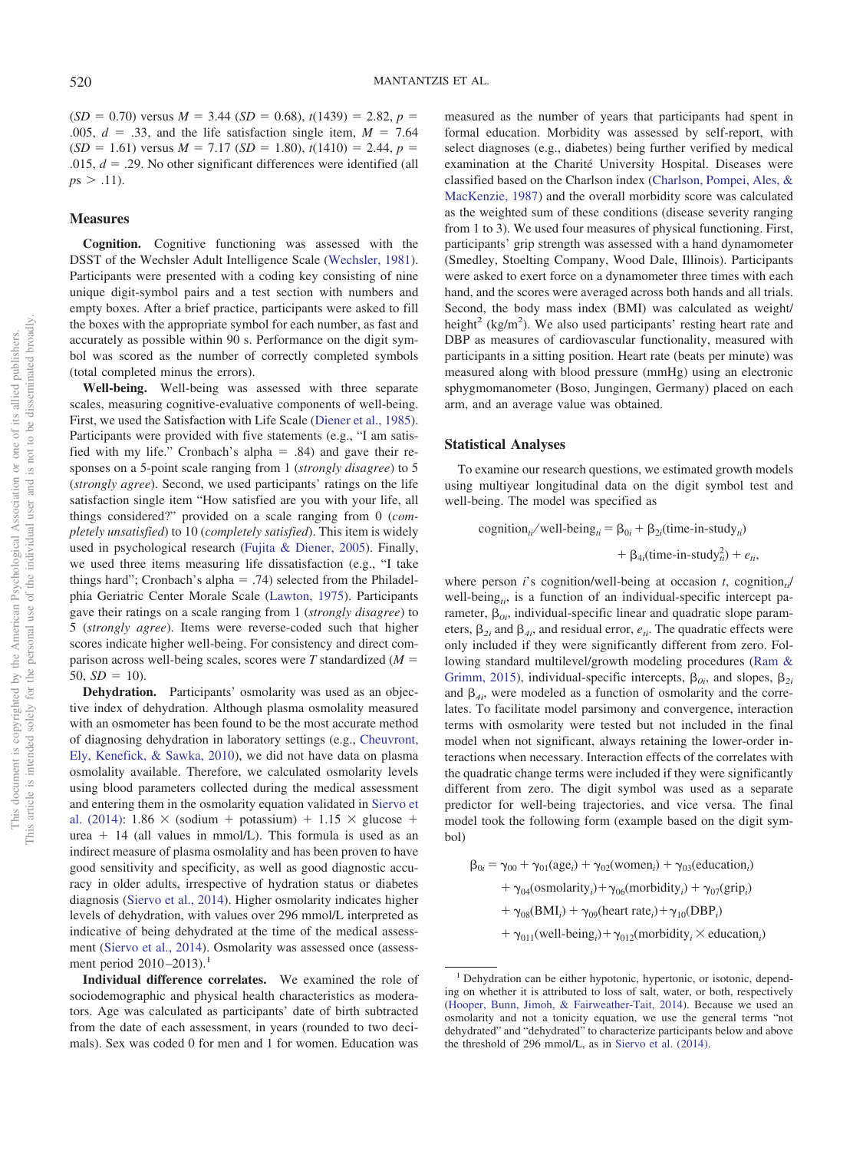$(SD = 0.70)$  versus  $M = 3.44$  (*SD* = 0.68),  $t(1439) = 2.82$ ,  $p =$ .005,  $d = .33$ , and the life satisfaction single item,  $M = 7.64$  $(SD = 1.61)$  versus  $M = 7.17$   $(SD = 1.80)$ ,  $t(1410) = 2.44$ ,  $p =$ .015,  $d = 0.29$ . No other significant differences were identified (all  $p s > .11$ ).

# **Measures**

**Cognition.** Cognitive functioning was assessed with the DSST of the Wechsler Adult Intelligence Scale [\(Wechsler, 1981\)](#page-10-17). Participants were presented with a coding key consisting of nine unique digit-symbol pairs and a test section with numbers and empty boxes. After a brief practice, participants were asked to fill the boxes with the appropriate symbol for each number, as fast and accurately as possible within 90 s. Performance on the digit symbol was scored as the number of correctly completed symbols (total completed minus the errors).

**Well-being.** Well-being was assessed with three separate scales, measuring cognitive-evaluative components of well-being. First, we used the Satisfaction with Life Scale [\(Diener et al., 1985\)](#page-10-20). Participants were provided with five statements (e.g., "I am satisfied with my life." Cronbach's alpha  $=$  .84) and gave their responses on a 5-point scale ranging from 1 (*strongly disagree*) to 5 (*strongly agree*). Second, we used participants' ratings on the life satisfaction single item "How satisfied are you with your life, all things considered?" provided on a scale ranging from 0 (*completely unsatisfied*) to 10 (*completely satisfied*). This item is widely used in psychological research [\(Fujita & Diener, 2005\)](#page-10-21). Finally, we used three items measuring life dissatisfaction (e.g., "I take things hard"; Cronbach's alpha = .74) selected from the Philadelphia Geriatric Center Morale Scale [\(Lawton, 1975\)](#page-10-22). Participants gave their ratings on a scale ranging from 1 (*strongly disagree*) to 5 (*strongly agree*). Items were reverse-coded such that higher scores indicate higher well-being. For consistency and direct comparison across well-being scales, scores were  $T$  standardized ( $M =$  $50, SD = 10$ ).

**Dehydration.** Participants' osmolarity was used as an objective index of dehydration. Although plasma osmolality measured with an osmometer has been found to be the most accurate method of diagnosing dehydration in laboratory settings (e.g., [Cheuvront,](#page-10-24) [Ely, Kenefick, & Sawka, 2010\)](#page-10-24), we did not have data on plasma osmolality available. Therefore, we calculated osmolarity levels using blood parameters collected during the medical assessment and entering them in the osmolarity equation validated in [Siervo et](#page-10-16) [al. \(2014\):](#page-10-16) 1.86  $\times$  (sodium + potassium) + 1.15  $\times$  glucose + urea  $+$  14 (all values in mmol/L). This formula is used as an indirect measure of plasma osmolality and has been proven to have good sensitivity and specificity, as well as good diagnostic accuracy in older adults, irrespective of hydration status or diabetes diagnosis [\(Siervo et al., 2014\)](#page-10-16). Higher osmolarity indicates higher levels of dehydration, with values over 296 mmol/L interpreted as indicative of being dehydrated at the time of the medical assessment [\(Siervo et al., 2014\)](#page-10-16). Osmolarity was assessed once (assessment period  $2010 - 2013$ ).<sup>1</sup>

**Individual difference correlates.** We examined the role of sociodemographic and physical health characteristics as moderators. Age was calculated as participants' date of birth subtracted from the date of each assessment, in years (rounded to two decimals). Sex was coded 0 for men and 1 for women. Education was

measured as the number of years that participants had spent in formal education. Morbidity was assessed by self-report, with select diagnoses (e.g., diabetes) being further verified by medical examination at the Charité University Hospital. Diseases were classified based on the Charlson index [\(Charlson, Pompei, Ales, &](#page-9-11) [MacKenzie, 1987\)](#page-9-11) and the overall morbidity score was calculated as the weighted sum of these conditions (disease severity ranging from 1 to 3). We used four measures of physical functioning. First, participants' grip strength was assessed with a hand dynamometer (Smedley, Stoelting Company, Wood Dale, Illinois). Participants were asked to exert force on a dynamometer three times with each hand, and the scores were averaged across both hands and all trials. Second, the body mass index (BMI) was calculated as weight/ height<sup>2</sup> (kg/m<sup>2</sup>). We also used participants' resting heart rate and DBP as measures of cardiovascular functionality, measured with participants in a sitting position. Heart rate (beats per minute) was measured along with blood pressure (mmHg) using an electronic sphygmomanometer (Boso, Jungingen, Germany) placed on each arm, and an average value was obtained.

### **Statistical Analyses**

To examine our research questions, we estimated growth models using multiyear longitudinal data on the digit symbol test and well-being. The model was specified as

\n
$$
\text{cognition}_{ii} / \text{well-being}_{ii} = \beta_{0i} + \beta_{2i} (\text{time-in-study}_{ii}) + \beta_{4i} (\text{time-in-study}_{ii}^2) + e_{ii},
$$
\n

where person *i*'s cognition/well-being at occasion *t*, cognition<sub>ti</sub>/ well-being<sub>ti</sub>, is a function of an individual-specific intercept parameter,  $\beta_{0i}$ , individual-specific linear and quadratic slope parameters,  $\beta_{2i}$  and  $\beta_{4i}$ , and residual error,  $e_{ii}$ . The quadratic effects were only included if they were significantly different from zero. Following standard multilevel/growth modeling procedures [\(Ram &](#page-10-25) [Grimm, 2015\)](#page-10-25), individual-specific intercepts,  $\beta_{0i}$ , and slopes,  $\beta_{2i}$ and  $\beta_{4i}$ , were modeled as a function of osmolarity and the correlates. To facilitate model parsimony and convergence, interaction terms with osmolarity were tested but not included in the final model when not significant, always retaining the lower-order interactions when necessary. Interaction effects of the correlates with the quadratic change terms were included if they were significantly different from zero. The digit symbol was used as a separate predictor for well-being trajectories, and vice versa. The final model took the following form (example based on the digit symbol)

$$
\beta_{0i} = \gamma_{00} + \gamma_{01}(\text{age}_i) + \gamma_{02}(\text{women}_i) + \gamma_{03}(\text{eduction}_i) + \gamma_{04}(\text{osmolarity}_i) + \gamma_{06}(\text{morbitity}_i) + \gamma_{07}(\text{grip}_i) + \gamma_{08}(\text{BMI}_i) + \gamma_{09}(\text{heart rate}_i) + \gamma_{10}(\text{DBP}_i) + \gamma_{011}(\text{well-being}_i) + \gamma_{012}(\text{morbitity}_i \times \text{eduction}_i)
$$

 $<sup>1</sup>$  Dehydration can be either hypotonic, hypertonic, or isotonic, depend-</sup> ing on whether it is attributed to loss of salt, water, or both, respectively [\(Hooper, Bunn, Jimoh, & Fairweather-Tait, 2014\)](#page-10-26). Because we used an osmolarity and not a tonicity equation, we use the general terms "not dehydrated" and "dehydrated" to characterize participants below and above the threshold of 296 mmol/L, as in [Siervo et al. \(2014\).](#page-10-16)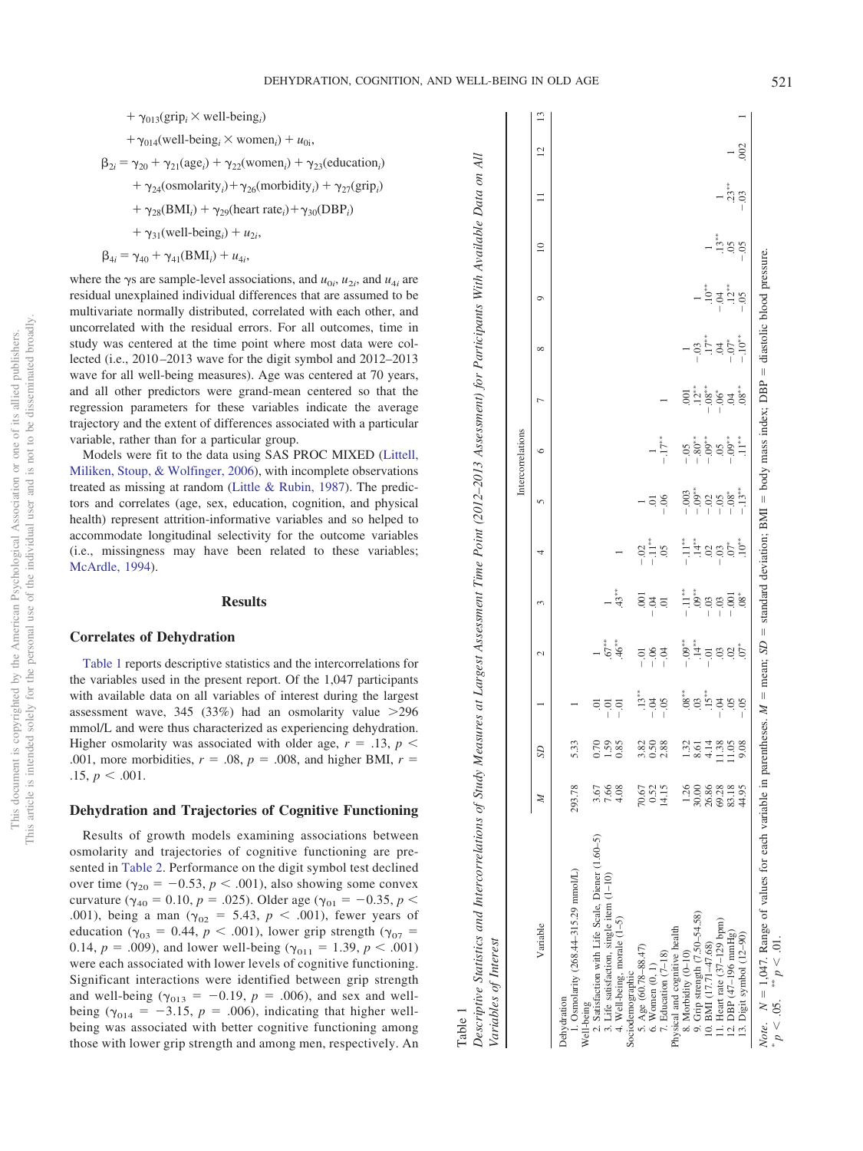${\cal A} ll$ 

<span id="page-4-0"></span>Table 1

Descriptive Statistics and Intercorrelations of Study Measures at Largest Assessment Time Point (2012-2013 Assessment) for Participants With Available Data on All

Descriptive Statistics and Intercorrelations of Study Measures at Largest Assessment Time Point (2012-2013 Assessment) for Participants With Available Data on

- +  $\gamma_{013}(\text{grip}_i \times \text{well-being}_i)$
- +  $\gamma_{014}$ (well-being<sub>*i*</sub></sub> × women<sub>*i*</sub>) +  $u_{0i}$ ,

$$
\beta_{2i} = \gamma_{20} + \gamma_{21}(\text{age}_i) + \gamma_{22}(\text{women}_i) + \gamma_{23}(\text{education}_i)
$$

- +  $\gamma_{24}$ (osmolarity<sub>*i*</sub>) +  $\gamma_{26}$ (morbidity<sub>*i*</sub>) +  $\gamma_{27}$ (grip<sub>*i*</sub>)
- +  $\gamma_{28}(BMI_i) + \gamma_{29}(heart rate_i) + \gamma_{30}(DBP_i)$
- $+ \gamma_{31}$ (well-being<sub>*i*</sub>) + *u*<sub>2*i*</sub>,
- $\beta_{4i} = \gamma_{40} + \gamma_{41}(BMI_i) + u_{4i},$

where the  $\gamma$ s are sample-level associations, and  $u_{0i}$ ,  $u_{2i}$ , and  $u_{4i}$  are residual unexplained individual differences that are assumed to be multivariate normally distributed, correlated with each other, and uncorrelated with the residual errors. For all outcomes, time in study was centered at the time point where most data were collected (i.e., 2010–2013 wave for the digit symbol and 2012–2013 wave for all well-being measures). Age was centered at 70 years, and all other predictors were grand-mean centered so that the regression parameters for these variables indicate the average trajectory and the extent of differences associated with a particular variable, rather than for a particular group.

Models were fit to the data using SAS PROC MIXED [\(Littell,](#page-10-27) [Miliken, Stoup, & Wolfinger, 2006\)](#page-10-27), with incomplete observations treated as missing at random [\(Little & Rubin, 1987\)](#page-10-28). The predictors and correlates (age, sex, education, cognition, and physical health) represent attrition-informative variables and so helped to accommodate longitudinal selectivity for the outcome variables (i.e., missingness may have been related to these variables; [McArdle, 1994\)](#page-10-29).

# **Results**

# **Correlates of Dehydration**

[Table 1](#page-4-0) reports descriptive statistics and the intercorrelations for the variables used in the present report. Of the 1,047 participants with available data on all variables of interest during the largest assessment wave,  $345$  ( $33\%$ ) had an osmolarity value  $>296$ mmol/L and were thus characterized as experiencing dehydration. Higher osmolarity was associated with older age,  $r = .13$ ,  $p <$ .001, more morbidities,  $r = .08$ ,  $p = .008$ , and higher BMI,  $r =$  $.15, p \lt .001.$ 

# **Dehydration and Trajectories of Cognitive Functioning**

Results of growth models examining associations between osmolarity and trajectories of cognitive functioning are presented in [Table 2.](#page-5-0) Performance on the digit symbol test declined over time ( $\gamma_{20} = -0.53$ ,  $p < .001$ ), also showing some convex curvature ( $\gamma_{40} = 0.10$ ,  $p = .025$ ). Older age ( $\gamma_{01} = -0.35$ ,  $p <$ .001), being a man ( $\gamma_{02} = 5.43$ ,  $p < .001$ ), fewer years of education ( $\gamma_{03} = 0.44$ ,  $p < .001$ ), lower grip strength ( $\gamma_{07} =$ 0.14,  $p = .009$ ), and lower well-being ( $\gamma_{011} = 1.39$ ,  $p < .001$ ) were each associated with lower levels of cognitive functioning. Significant interactions were identified between grip strength and well-being ( $\gamma_{013} = -0.19$ ,  $p = .006$ ), and sex and wellbeing ( $\gamma_{014} = -3.15$ ,  $p = .006$ ), indicating that higher wellbeing was associated with better cognitive functioning among those with lower grip strength and among men, respectively. An

|                                                                     |                           |                                  |          |                                                                                                                 |                                                                                                   |                                                                                      | Intercorrelations          |                                                                      |                      |                                                     |                                  |                  |                |  |
|---------------------------------------------------------------------|---------------------------|----------------------------------|----------|-----------------------------------------------------------------------------------------------------------------|---------------------------------------------------------------------------------------------------|--------------------------------------------------------------------------------------|----------------------------|----------------------------------------------------------------------|----------------------|-----------------------------------------------------|----------------------------------|------------------|----------------|--|
| Z<br>Variable                                                       | S <sub>D</sub>            |                                  | 2        | 3                                                                                                               |                                                                                                   | 5                                                                                    | ७                          |                                                                      | ${}^{\circ}$         | O                                                   | $\supseteq$                      |                  | $\overline{c}$ |  |
| 293.78<br>Dehydration                                               | 5.33                      |                                  |          |                                                                                                                 |                                                                                                   |                                                                                      |                            |                                                                      |                      |                                                     |                                  |                  |                |  |
| 1. Osmolarity (268.44-315.29 mmol/L)<br>Well-being                  |                           |                                  |          |                                                                                                                 |                                                                                                   |                                                                                      |                            |                                                                      |                      |                                                     |                                  |                  |                |  |
| 3.67<br>2. Satisfaction with Life Scale, Diener (1.60-5)            |                           |                                  |          |                                                                                                                 |                                                                                                   |                                                                                      |                            |                                                                      |                      |                                                     |                                  |                  |                |  |
| 7.66<br>3. Life satisfaction, single item (1-10)                    | 0.59<br>0.59<br>0.50      | 국 국 국<br>- - - -                 | $.67***$ |                                                                                                                 |                                                                                                   |                                                                                      |                            |                                                                      |                      |                                                     |                                  |                  |                |  |
| 4.08<br>4. Well-being, morale (1-5)                                 |                           |                                  |          | $.43***$                                                                                                        |                                                                                                   |                                                                                      |                            |                                                                      |                      |                                                     |                                  |                  |                |  |
| Sociodemographic                                                    |                           |                                  |          |                                                                                                                 |                                                                                                   |                                                                                      |                            |                                                                      |                      |                                                     |                                  |                  |                |  |
| 70.67<br>5. Age (60.78-88.47)                                       | $3008$<br>$008$           | $-134$<br>$-15$<br>$-15$         | 588      | $rac{5}{3}$                                                                                                     | $rac{8}{1}$<br>$rac{1}{1}$<br>$rac{8}{1}$                                                         |                                                                                      |                            |                                                                      |                      |                                                     |                                  |                  |                |  |
| 0.52<br>6. Women (0, 1)                                             |                           |                                  |          |                                                                                                                 |                                                                                                   | $rac{50}{10}$                                                                        |                            |                                                                      |                      |                                                     |                                  |                  |                |  |
| 14.15<br>7. Education (7-18)                                        |                           |                                  |          |                                                                                                                 |                                                                                                   |                                                                                      | $-.17***$                  |                                                                      |                      |                                                     |                                  |                  |                |  |
| Physical and cognitive health                                       |                           |                                  |          |                                                                                                                 |                                                                                                   |                                                                                      |                            |                                                                      |                      |                                                     |                                  |                  |                |  |
| 1.26<br>8. Morbidity (0-10)                                         |                           |                                  |          |                                                                                                                 |                                                                                                   |                                                                                      |                            |                                                                      |                      |                                                     |                                  |                  |                |  |
| 30.00                                                               |                           |                                  |          |                                                                                                                 |                                                                                                   |                                                                                      |                            |                                                                      |                      |                                                     |                                  |                  |                |  |
| 26.86<br>9. Grip strength $(7.50-54.58)$<br>10. BMI $(17.71-47.68)$ | $13.514805$<br>$-4.13805$ | 9.05<br>9.05 minus<br>9.05 minus |          | $\frac{1}{1}$ $\frac{1}{3}$ $\frac{8}{3}$ $\frac{8}{1}$ $\frac{8}{1}$ $\frac{8}{1}$ $\frac{8}{1}$ $\frac{8}{1}$ | $\frac{1}{2}$ $\frac{1}{4}$ $\frac{1}{4}$ $\frac{1}{5}$ $\frac{1}{5}$ $\frac{1}{5}$ $\frac{1}{5}$ | $-0.03$<br>$-0.05$<br>$-0.05$<br>$-0.05$<br>$-0.05$<br>$-0.05$<br>$-0.05$<br>$-0.05$ | ន្ទុំ<br>ខុនុំទំនុំ<br>ប្រ | $301$<br>$-28$<br>$-38$<br>$-10$<br>$-10$<br>$-10$<br>$-10$<br>$-10$ | $-9.577$<br>$-3.577$ | $10^{44}$<br>$-12^{44}$<br>$-12^{44}$<br>$-12^{44}$ |                                  |                  |                |  |
| 69.28<br>11. Heart rate $(37-129$ bpm)                              |                           |                                  |          |                                                                                                                 |                                                                                                   |                                                                                      |                            |                                                                      |                      |                                                     | $-13***$<br>$-13***$<br>$-15***$ |                  |                |  |
| 12. DBP $(47-196 \text{ mmHg})$                                     |                           |                                  |          |                                                                                                                 | $\overline{O}^*$                                                                                  |                                                                                      |                            |                                                                      |                      |                                                     |                                  | $-33***$<br>- 03 |                |  |
| 44.95<br>13. Digit symbol (12-90)                                   | 9.08                      |                                  |          | $.08^{\ast}$                                                                                                    | $.10^{**}$                                                                                        |                                                                                      | $\ddot{=}$                 | $.08^{\ast\ast}$                                                     | $-.10**$             |                                                     |                                  |                  | .002           |  |

 $\geq d$  $p < 0.05$ .

.05.

 $p > 0.01$ .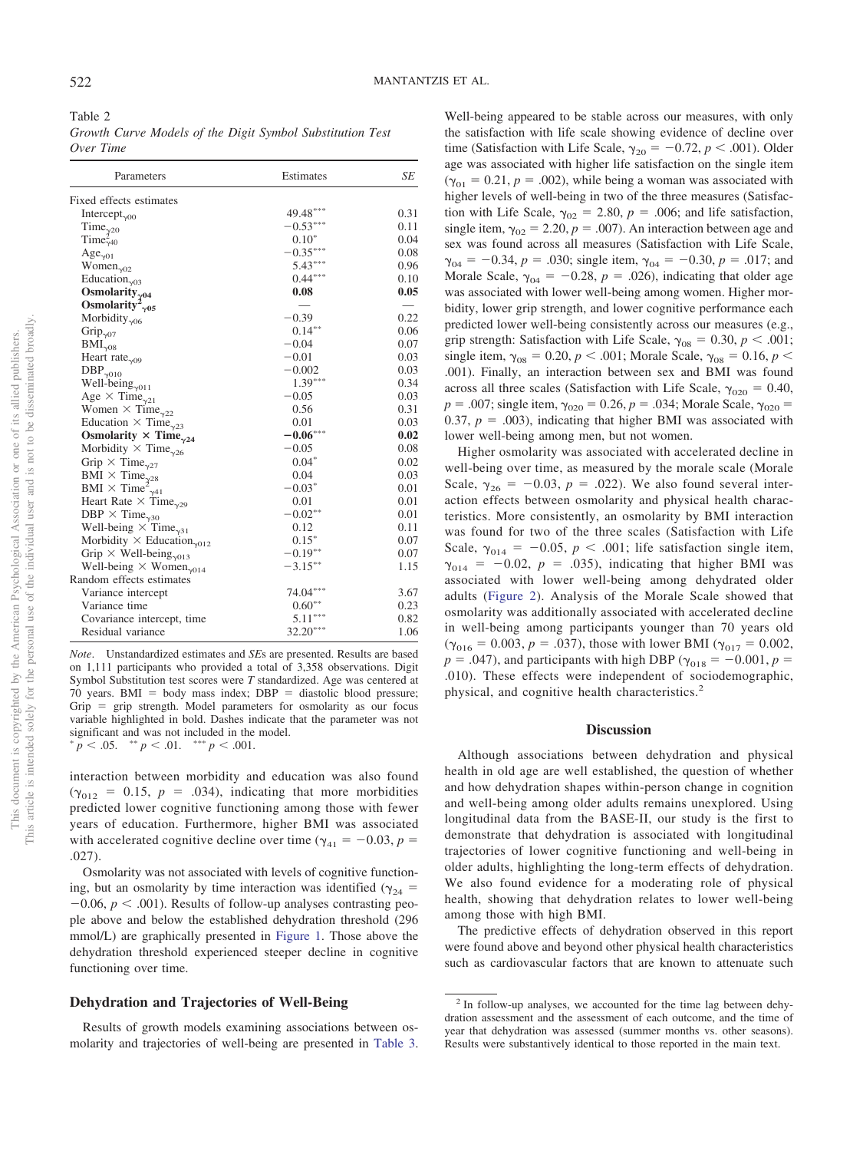<span id="page-5-0"></span>Table 2 *Growth Curve Models of the Digit Symbol Substitution Test Over Time*

| Parameters                                                      | Estimates  | SE   |
|-----------------------------------------------------------------|------------|------|
| Fixed effects estimates                                         |            |      |
| Intercept <sub>v00</sub>                                        | 49.48***   | 0.31 |
| Time <sub><math>\gamma</math>20</sub>                           | $-0.53***$ | 0.11 |
| $Time_{\gamma 40}^2$                                            | $0.10*$    | 0.04 |
| $Age_{\gamma01}$                                                | $-0.35***$ | 0.08 |
| Women <sub><math>\gamma</math>02</sub>                          | $5.43***$  | 0.96 |
| Education <sub><math>\gamma</math>03</sub>                      | $0.44***$  | 0.10 |
| Osmolarity $_{\gamma^{04}}$                                     | 0.08       | 0.05 |
| Osmolarity <sup>2</sup> <sub><math>\gamma</math>05</sub>        |            |      |
| Morbidity $_{\gamma06}$                                         | $-0.39$    | 0.22 |
| Grip <sub>y07</sub>                                             | $0.14***$  | 0.06 |
| $\text{BMI}_{\gamma 08}$                                        | $-0.04$    | 0.07 |
| Heart rate <sub><math>\gamma</math>09</sub>                     | $-0.01$    | 0.03 |
| $\text{DBP}_{\gamma010}$                                        | $-0.002$   | 0.03 |
| Well-being $_{\gamma011}$                                       | $1.39***$  | 0.34 |
| Age $\times$ Time <sub><math>\gamma</math>21</sub>              | $-0.05$    | 0.03 |
| Women $\times$ Time <sub><math>\gamma</math>22</sub>            | 0.56       | 0.31 |
| Education $\times$ Time <sub>y23</sub>                          | 0.01       | 0.03 |
| Osmolarity $\times$ Time <sub>y24</sub>                         | $-0.06***$ | 0.02 |
| Morbidity $\times$ Time <sub>y26</sub>                          | $-0.05$    | 0.08 |
| Grip $\times$ Time <sub><math>\gamma</math>27</sub>             | $0.04*$    | 0.02 |
| BMI $\times$ Time <sub><math>\gamma</math>28</sub>              | 0.04       | 0.03 |
| BMI $\times$ Time <sup>2</sup> <sub><math>\gamma</math>41</sub> | $-0.03*$   | 0.01 |
| Heart Rate $\times$ Time <sub><math>\gamma</math>29</sub>       | 0.01       | 0.01 |
| DBP $\times$ Time <sub>230</sub>                                | $-0.02**$  | 0.01 |
| Well-being $\times$ Time <sub>y31</sub>                         | 0.12       | 0.11 |
| Morbidity $\times$ Education <sub><math>\gamma</math>012</sub>  | $0.15*$    | 0.07 |
| Grip $\times$ Well-being <sub>y013</sub>                        | $-0.19***$ | 0.07 |
| Well-being $\times$ Women <sub>y014</sub>                       | $-3.15***$ | 1.15 |
| Random effects estimates                                        |            |      |
| Variance intercept                                              | $74.04***$ | 3.67 |
| Variance time                                                   | $0.60**$   | 0.23 |
| Covariance intercept, time                                      | $5.11***$  | 0.82 |
| Residual variance                                               | $32.20***$ | 1.06 |

*Note*. Unstandardized estimates and *SE*s are presented. Results are based on 1,111 participants who provided a total of 3,358 observations. Digit Symbol Substitution test scores were *T* standardized. Age was centered at  $70$  years. BMI = body mass index; DBP = diastolic blood pressure;  $Grip = grip strength. Model parameters for osmolarity as our focus$ variable highlighted in bold. Dashes indicate that the parameter was not significant and was not included in the model.  $\frac{p}{p} < .05.$  \*\*  $p < .01.$  \*\*\*  $p < .001.$ 

interaction between morbidity and education was also found  $(\gamma_{012} = 0.15, p = .034)$ , indicating that more morbidities

predicted lower cognitive functioning among those with fewer years of education. Furthermore, higher BMI was associated with accelerated cognitive decline over time ( $\gamma_{41} = -0.03$ ,  $p =$ .027).

Osmolarity was not associated with levels of cognitive functioning, but an osmolarity by time interaction was identified ( $\gamma_{24}$  =  $-0.06$ ,  $p < .001$ ). Results of follow-up analyses contrasting people above and below the established dehydration threshold (296 mmol/L) are graphically presented in [Figure 1.](#page-6-0) Those above the dehydration threshold experienced steeper decline in cognitive functioning over time.

# **Dehydration and Trajectories of Well-Being**

Results of growth models examining associations between osmolarity and trajectories of well-being are presented in [Table 3.](#page-7-0)

Well-being appeared to be stable across our measures, with only the satisfaction with life scale showing evidence of decline over time (Satisfaction with Life Scale,  $\gamma_{20} = -0.72$ ,  $p < .001$ ). Older age was associated with higher life satisfaction on the single item  $(\gamma_{01} = 0.21, p = .002)$ , while being a woman was associated with higher levels of well-being in two of the three measures (Satisfaction with Life Scale,  $\gamma_{02} = 2.80$ ,  $p = .006$ ; and life satisfaction, single item,  $\gamma_{02} = 2.20$ ,  $p = .007$ ). An interaction between age and sex was found across all measures (Satisfaction with Life Scale,  $\gamma_{04} = -0.34, p = .030$ ; single item,  $\gamma_{04} = -0.30, p = .017$ ; and Morale Scale,  $\gamma_{04} = -0.28$ ,  $p = .026$ ), indicating that older age was associated with lower well-being among women. Higher morbidity, lower grip strength, and lower cognitive performance each predicted lower well-being consistently across our measures (e.g., grip strength: Satisfaction with Life Scale,  $\gamma_{08} = 0.30, p < .001;$ single item,  $\gamma_{08} = 0.20, p < .001$ ; Morale Scale,  $\gamma_{08} = 0.16, p <$ .001). Finally, an interaction between sex and BMI was found across all three scales (Satisfaction with Life Scale,  $\gamma_{020} = 0.40$ ,  $p = .007$ ; single item,  $\gamma_{020} = 0.26$ ,  $p = .034$ ; Morale Scale,  $\gamma_{020} =$ 0.37,  $p = .003$ ), indicating that higher BMI was associated with lower well-being among men, but not women.

Higher osmolarity was associated with accelerated decline in well-being over time, as measured by the morale scale (Morale Scale,  $\gamma_{26} = -0.03$ ,  $p = .022$ ). We also found several interaction effects between osmolarity and physical health characteristics. More consistently, an osmolarity by BMI interaction was found for two of the three scales (Satisfaction with Life Scale,  $\gamma_{014} = -0.05$ ,  $p < .001$ ; life satisfaction single item,  $\gamma_{014}$  = -0.02,  $p$  = .035), indicating that higher BMI was associated with lower well-being among dehydrated older adults [\(Figure 2\)](#page-8-0). Analysis of the Morale Scale showed that osmolarity was additionally associated with accelerated decline in well-being among participants younger than 70 years old  $(\gamma_{016} = 0.003, p = .037)$ , those with lower BMI ( $\gamma_{017} = 0.002$ ,  $p = .047$ ), and participants with high DBP ( $\gamma_{018} = -0.001$ ,  $p =$ .010). These effects were independent of sociodemographic, physical, and cognitive health characteristics.<sup>2</sup>

# **Discussion**

Although associations between dehydration and physical health in old age are well established, the question of whether and how dehydration shapes within-person change in cognition and well-being among older adults remains unexplored. Using longitudinal data from the BASE-II, our study is the first to demonstrate that dehydration is associated with longitudinal trajectories of lower cognitive functioning and well-being in older adults, highlighting the long-term effects of dehydration. We also found evidence for a moderating role of physical health, showing that dehydration relates to lower well-being among those with high BMI.

The predictive effects of dehydration observed in this report were found above and beyond other physical health characteristics such as cardiovascular factors that are known to attenuate such

<sup>2</sup> In follow-up analyses, we accounted for the time lag between dehydration assessment and the assessment of each outcome, and the time of year that dehydration was assessed (summer months vs. other seasons). Results were substantively identical to those reported in the main text.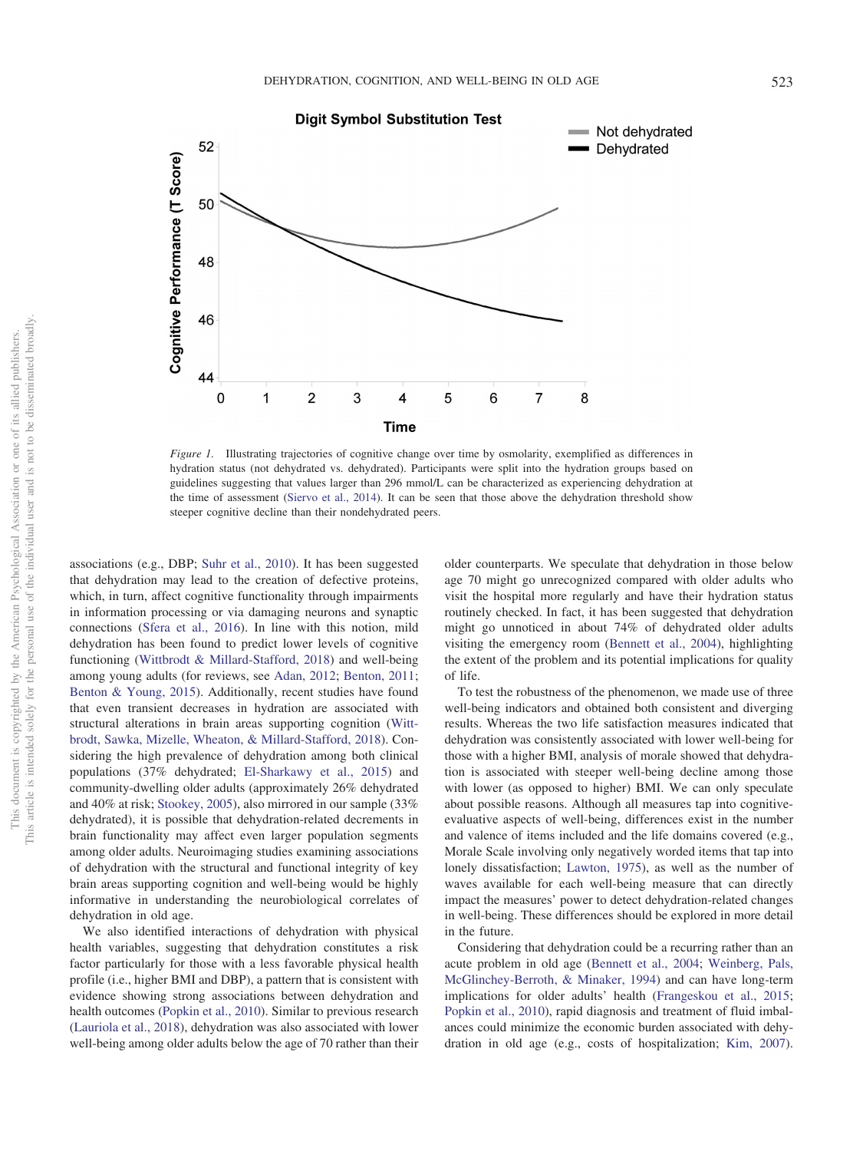

<span id="page-6-0"></span>*Figure 1.* Illustrating trajectories of cognitive change over time by osmolarity, exemplified as differences in hydration status (not dehydrated vs. dehydrated). Participants were split into the hydration groups based on guidelines suggesting that values larger than 296 mmol/L can be characterized as experiencing dehydration at the time of assessment [\(Siervo et al., 2014\)](#page-10-16). It can be seen that those above the dehydration threshold show steeper cognitive decline than their nondehydrated peers.

associations (e.g., DBP; [Suhr et al., 2010\)](#page-10-11). It has been suggested that dehydration may lead to the creation of defective proteins, which, in turn, affect cognitive functionality through impairments in information processing or via damaging neurons and synaptic connections [\(Sfera et al., 2016\)](#page-10-6). In line with this notion, mild dehydration has been found to predict lower levels of cognitive functioning [\(Wittbrodt & Millard-Stafford, 2018\)](#page-11-0) and well-being among young adults (for reviews, see [Adan, 2012;](#page-9-0) [Benton, 2011;](#page-9-7) [Benton & Young, 2015\)](#page-9-1). Additionally, recent studies have found that even transient decreases in hydration are associated with structural alterations in brain areas supporting cognition [\(Witt](#page-11-2)[brodt, Sawka, Mizelle, Wheaton, & Millard-Stafford, 2018\)](#page-11-2). Considering the high prevalence of dehydration among both clinical populations (37% dehydrated; [El-Sharkawy et al., 2015\)](#page-10-4) and community-dwelling older adults (approximately 26% dehydrated and 40% at risk; [Stookey, 2005\)](#page-10-3), also mirrored in our sample (33% dehydrated), it is possible that dehydration-related decrements in brain functionality may affect even larger population segments among older adults. Neuroimaging studies examining associations of dehydration with the structural and functional integrity of key brain areas supporting cognition and well-being would be highly informative in understanding the neurobiological correlates of dehydration in old age.

We also identified interactions of dehydration with physical health variables, suggesting that dehydration constitutes a risk factor particularly for those with a less favorable physical health profile (i.e., higher BMI and DBP), a pattern that is consistent with evidence showing strong associations between dehydration and health outcomes [\(Popkin et al., 2010\)](#page-10-2). Similar to previous research [\(Lauriola et al., 2018\)](#page-10-14), dehydration was also associated with lower well-being among older adults below the age of 70 rather than their older counterparts. We speculate that dehydration in those below age 70 might go unrecognized compared with older adults who visit the hospital more regularly and have their hydration status routinely checked. In fact, it has been suggested that dehydration might go unnoticed in about 74% of dehydrated older adults visiting the emergency room [\(Bennett et al., 2004\)](#page-9-4), highlighting the extent of the problem and its potential implications for quality of life.

To test the robustness of the phenomenon, we made use of three well-being indicators and obtained both consistent and diverging results. Whereas the two life satisfaction measures indicated that dehydration was consistently associated with lower well-being for those with a higher BMI, analysis of morale showed that dehydration is associated with steeper well-being decline among those with lower (as opposed to higher) BMI. We can only speculate about possible reasons. Although all measures tap into cognitiveevaluative aspects of well-being, differences exist in the number and valence of items included and the life domains covered (e.g., Morale Scale involving only negatively worded items that tap into lonely dissatisfaction; [Lawton, 1975\)](#page-10-22), as well as the number of waves available for each well-being measure that can directly impact the measures' power to detect dehydration-related changes in well-being. These differences should be explored in more detail in the future.

Considering that dehydration could be a recurring rather than an acute problem in old age [\(Bennett et al., 2004;](#page-9-4) [Weinberg, Pals,](#page-11-3) [McGlinchey-Berroth, & Minaker, 1994\)](#page-11-3) and can have long-term implications for older adults' health [\(Frangeskou et al., 2015;](#page-10-7) [Popkin et al., 2010\)](#page-10-2), rapid diagnosis and treatment of fluid imbalances could minimize the economic burden associated with dehydration in old age (e.g., costs of hospitalization; [Kim, 2007\)](#page-10-0).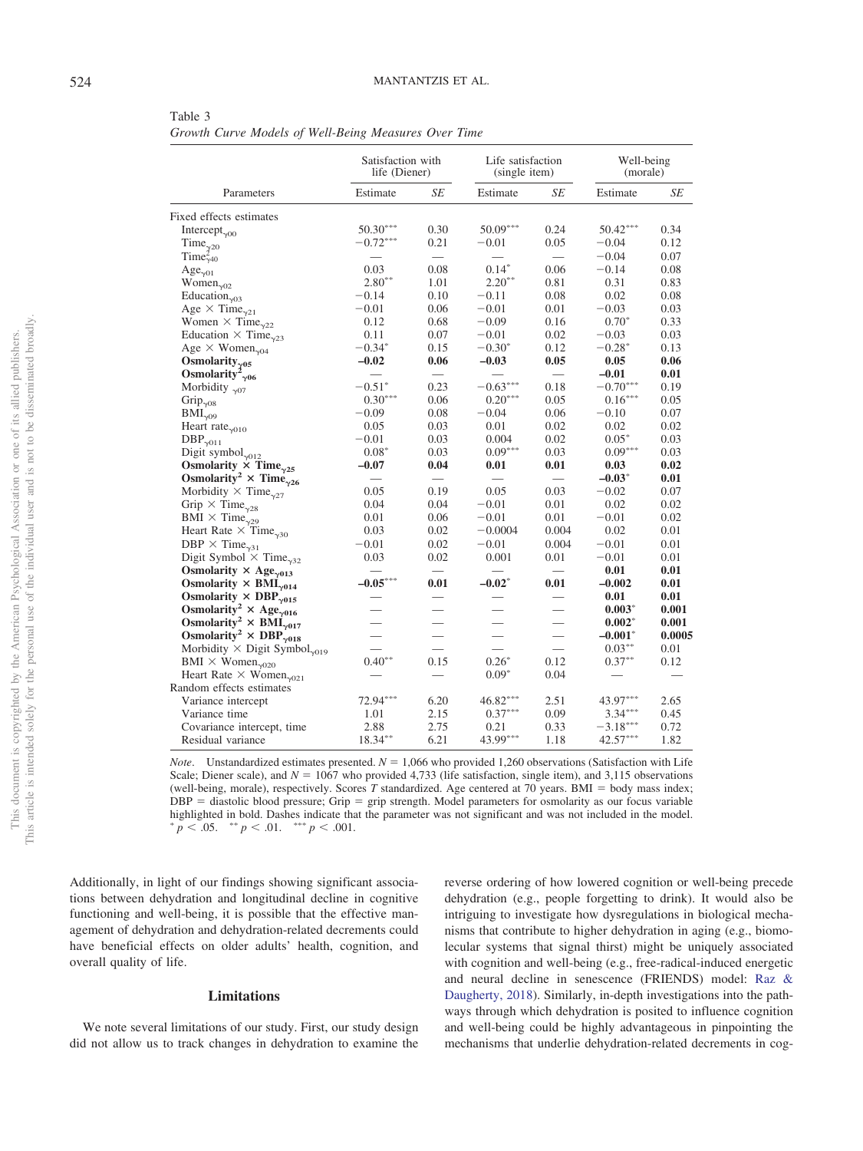<span id="page-7-0"></span>Table 3 *Growth Curve Models of Well-Being Measures Over Time*

|                                                                   | Satisfaction with<br>life (Diener) |                          | Life satisfaction<br>(single item) |                          | Well-being<br>(morale) |        |
|-------------------------------------------------------------------|------------------------------------|--------------------------|------------------------------------|--------------------------|------------------------|--------|
| Parameters                                                        | Estimate                           | SE                       | Estimate                           | SE                       | Estimate               | SE     |
| Fixed effects estimates                                           |                                    |                          |                                    |                          |                        |        |
| Intercept <sub><math>\gamma</math>00</sub>                        | $50.30***$                         | 0.30                     | $50.09***$                         | 0.24                     | $50.42***$             | 0.34   |
| Time $_{\gamma^{20}}$                                             | $-0.72***$                         | 0.21                     | $-0.01$                            | 0.05                     | $-0.04$                | 0.12   |
| Time $_{\gamma40}^2$                                              |                                    |                          |                                    | $\overline{\phantom{0}}$ | $-0.04$                | 0.07   |
| $Age_{\gamma01}$                                                  | 0.03                               | 0.08                     | $0.14*$                            | 0.06                     | $-0.14$                | 0.08   |
| Women <sub><math>\gamma</math>02</sub>                            | $2.80**$                           | 1.01                     | $2.20**$                           | 0.81                     | 0.31                   | 0.83   |
| Education <sub><math>\gamma</math>03</sub>                        | $-0.14$                            | 0.10                     | $-0.11$                            | 0.08                     | 0.02                   | 0.08   |
| Age $\times$ Time <sub><math>\gamma</math>21</sub>                | $-0.01$                            | 0.06                     | $-0.01$                            | 0.01                     | $-0.03$                | 0.03   |
| Women $\times$ Time <sub><math>\gamma</math>22</sub>              | 0.12                               | 0.68                     | $-0.09$                            | 0.16                     | $0.70*$                | 0.33   |
| Education $\times$ Time <sub><math>\gamma</math>23</sub>          | 0.11                               | 0.07                     | $-0.01$                            | 0.02                     | $-0.03$                | 0.03   |
| Age $\times$ Women <sub><math>\gamma</math>04</sub>               | $-0.34*$                           | 0.15                     | $-0.30*$                           | 0.12                     | $-0.28*$               | 0.13   |
| Osmolarity $_{\gamma^{05}}$                                       | $-0.02$                            | 0.06                     | $-0.03$                            | 0.05                     | 0.05                   | 0.06   |
| Osmolarity <sup>2</sup> <sub><math>\gamma</math>06</sub>          | $\qquad \qquad$                    | $\overline{\phantom{0}}$ |                                    |                          | $-0.01$                | 0.01   |
| Morbidity $_{\gamma07}$                                           | $-0.51*$                           | 0.23                     | $-0.63***$                         | 0.18                     | $-0.70***$             | 0.19   |
| Grip $_{\gamma08}$                                                | $0.30***$                          | 0.06                     | $0.20***$                          | 0.05                     | $0.16***$              | 0.05   |
| $\text{BMI}^+_{\gamma09}$                                         | $-0.09$                            | 0.08                     | $-0.04$                            | 0.06                     | $-0.10$                | 0.07   |
| Heart rate <sub><math>\gamma</math>010</sub>                      | 0.05                               | 0.03                     | 0.01                               | 0.02                     | 0.02                   | 0.02   |
| $DBP_{\gamma011}$                                                 | $-0.01$                            | 0.03                     | 0.004                              | 0.02                     | $0.05*$                | 0.03   |
| Digit symbol $_{\gamma012}$                                       | $0.08*$                            | 0.03                     | $0.09***$                          | 0.03                     | $0.09***$              | 0.03   |
| Osmolarity $\times$ Time <sub><math>\gamma</math>25</sub>         | $-0.07$                            | 0.04                     | 0.01                               | 0.01                     | 0.03                   | 0.02   |
| Osmolarity <sup>2</sup> × Time <sub>y26</sub>                     | $\overline{\phantom{0}}$           | $\overline{\phantom{0}}$ | $\overline{\phantom{0}}$           | $\overline{\phantom{0}}$ | $-0.03*$               | 0.01   |
| Morbidity $\times$ Time <sub><math>\gamma</math>27</sub>          | 0.05                               | 0.19                     | 0.05                               | 0.03                     | $-0.02$                | 0.07   |
| Grip $\times$ Time <sub><math>\gamma</math>28</sub>               | 0.04                               | 0.04                     | $-0.01$                            | 0.01                     | 0.02                   | 0.02   |
| BMI $\times$ Time <sub><math>\gamma</math>29</sub>                | 0.01                               | 0.06                     | $-0.01$                            | 0.01                     | $-0.01$                | 0.02   |
| Heart Rate $\times$ Time <sub>y30</sub>                           | 0.03                               | 0.02                     | $-0.0004$                          | 0.004                    | 0.02                   | 0.01   |
| DBP $\times$ Time <sub><math>\gamma</math>31</sub>                | $-0.01$                            | 0.02                     | $-0.01$                            | 0.004                    | $-0.01$                | 0.01   |
| Digit Symbol $\times$ Time <sub><math>\gamma</math>32</sub>       | 0.03                               | 0.02                     | 0.001                              | 0.01                     | $-0.01$                | 0.01   |
| Osmolarity $\times$ Age <sub>y013</sub>                           | $\overline{\phantom{0}}$           |                          | $\overline{\phantom{0}}$           | $\overline{\phantom{0}}$ | 0.01                   | 0.01   |
| Osmolarity $\times$ BMI <sub><math>\gamma</math>014</sub>         | $-0.05***$                         | 0.01                     | $-0.02*$                           | 0.01                     | $-0.002$               | 0.01   |
| Osmolarity $\times$ DBP <sub><math>\gamma</math>015</sub>         |                                    |                          |                                    |                          | 0.01                   | 0.01   |
| Osmolarity <sup>2</sup> × Age <sub>y016</sub>                     |                                    |                          |                                    |                          | $0.003*$               | 0.001  |
| Osmolarity <sup>2</sup> × BMI <sub><math>\gamma</math>017</sub>   | $\overline{\phantom{0}}$           | $\overline{\phantom{0}}$ | $\overline{\phantom{0}}$           | $\qquad \qquad$          | $0.002*$               | 0.001  |
| Osmolarity <sup>2</sup> × DBP <sub><math>\gamma</math>018</sub>   | $\overline{\phantom{0}}$           | $\overline{\phantom{0}}$ | $\overline{\phantom{0}}$           | $\qquad \qquad$          | $-0.001*$              | 0.0005 |
| Morbidity $\times$ Digit Symbol <sub><math>\gamma</math>019</sub> |                                    | $\overline{\phantom{0}}$ | $\equiv$                           | $\equiv$                 | $0.03***$              | 0.01   |
| BMI $\times$ Women <sub><math>\gamma</math>020</sub>              | $0.40**$                           | 0.15                     | $0.26*$                            | 0.12                     | $0.37**$               | 0.12   |
| Heart Rate $\times$ Women <sub><math>\sqrt{021}</math></sub>      |                                    |                          | $0.09*$                            | 0.04                     |                        |        |
| Random effects estimates                                          |                                    |                          |                                    |                          |                        |        |
| Variance intercept                                                | 72.94***                           | 6.20                     | $46.82***$                         | 2.51                     | 43.97***               | 2.65   |
| Variance time                                                     | 1.01                               | 2.15                     | $0.37***$                          | 0.09                     | $3.34***$              | 0.45   |
| Covariance intercept, time                                        | 2.88                               | 2.75                     | 0.21                               | 0.33                     | $-3.18***$             | 0.72   |
| Residual variance                                                 | 18.34**                            | 6.21                     | 43.99***                           | 1.18                     | $42.57***$             | 1.82   |

*Note*. Unstandardized estimates presented.  $N = 1,066$  who provided 1,260 observations (Satisfaction with Life Scale; Diener scale), and  $N = 1067$  who provided 4,733 (life satisfaction, single item), and 3,115 observations (well-being, morale), respectively. Scores T standardized. Age centered at 70 years. BMI = body mass index; DBP = diastolic blood pressure; Grip = grip strength. Model parameters for osmolarity as our focus variable highlighted in bold. Dashes indicate that the parameter was not significant and was not included in the model.<br>\*  $n \leq 05$  \*\*  $n \leq 01$  \*\*\*  $n \leq 001$  $p < .05.$  \*\*  $p < .01.$  \*\*\*  $p < .001.$ 

Additionally, in light of our findings showing significant associations between dehydration and longitudinal decline in cognitive functioning and well-being, it is possible that the effective management of dehydration and dehydration-related decrements could have beneficial effects on older adults' health, cognition, and overall quality of life.

## **Limitations**

We note several limitations of our study. First, our study design did not allow us to track changes in dehydration to examine the reverse ordering of how lowered cognition or well-being precede dehydration (e.g., people forgetting to drink). It would also be intriguing to investigate how dysregulations in biological mechanisms that contribute to higher dehydration in aging (e.g., biomolecular systems that signal thirst) might be uniquely associated with cognition and well-being (e.g., free-radical-induced energetic and neural decline in senescence (FRIENDS) model: [Raz &](#page-10-30) [Daugherty, 2018\)](#page-10-30). Similarly, in-depth investigations into the pathways through which dehydration is posited to influence cognition and well-being could be highly advantageous in pinpointing the mechanisms that underlie dehydration-related decrements in cog-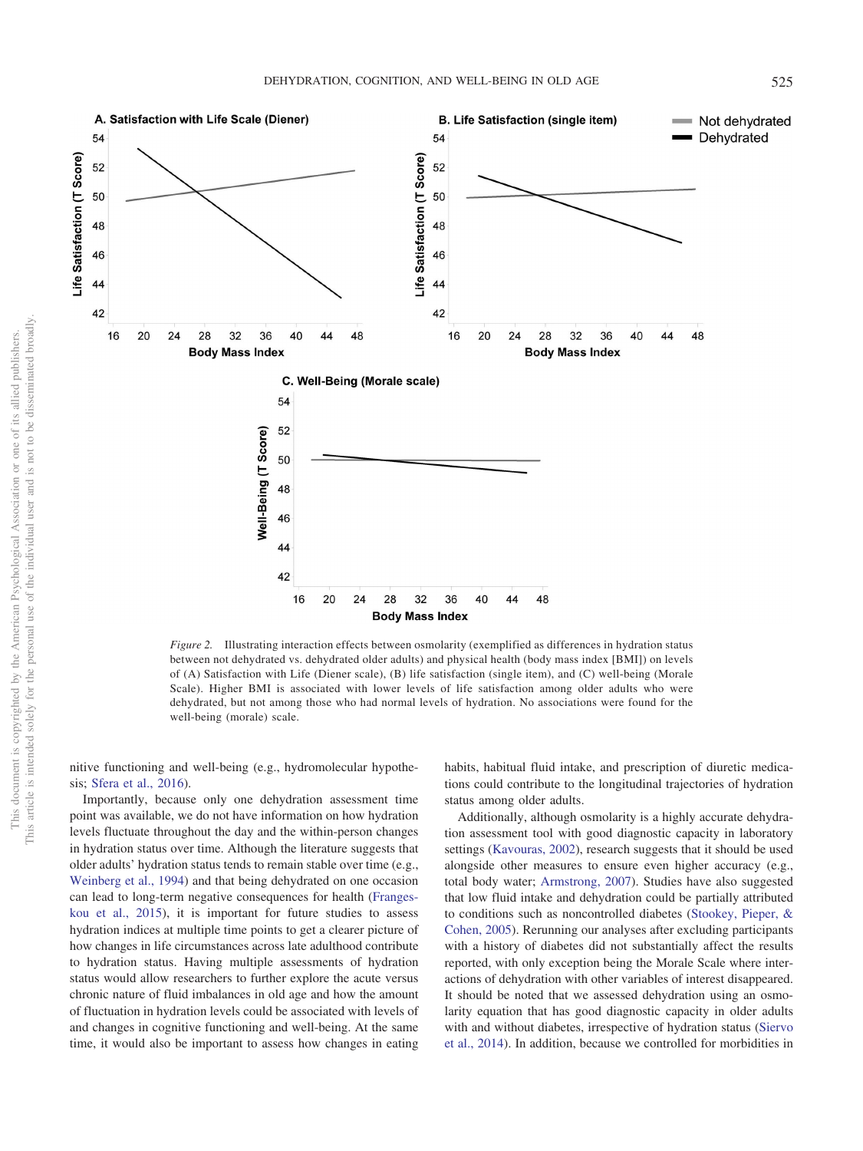

<span id="page-8-0"></span>*Figure 2.* Illustrating interaction effects between osmolarity (exemplified as differences in hydration status between not dehydrated vs. dehydrated older adults) and physical health (body mass index [BMI]) on levels of (A) Satisfaction with Life (Diener scale), (B) life satisfaction (single item), and (C) well-being (Morale Scale). Higher BMI is associated with lower levels of life satisfaction among older adults who were dehydrated, but not among those who had normal levels of hydration. No associations were found for the well-being (morale) scale.

nitive functioning and well-being (e.g., hydromolecular hypothesis; [Sfera et al., 2016\)](#page-10-6).

Importantly, because only one dehydration assessment time point was available, we do not have information on how hydration levels fluctuate throughout the day and the within-person changes in hydration status over time. Although the literature suggests that older adults' hydration status tends to remain stable over time (e.g., [Weinberg et al., 1994\)](#page-11-3) and that being dehydrated on one occasion can lead to long-term negative consequences for health [\(Franges](#page-10-7)[kou et al., 2015\)](#page-10-7), it is important for future studies to assess hydration indices at multiple time points to get a clearer picture of how changes in life circumstances across late adulthood contribute to hydration status. Having multiple assessments of hydration status would allow researchers to further explore the acute versus chronic nature of fluid imbalances in old age and how the amount of fluctuation in hydration levels could be associated with levels of and changes in cognitive functioning and well-being. At the same time, it would also be important to assess how changes in eating habits, habitual fluid intake, and prescription of diuretic medications could contribute to the longitudinal trajectories of hydration status among older adults.

Additionally, although osmolarity is a highly accurate dehydration assessment tool with good diagnostic capacity in laboratory settings [\(Kavouras, 2002\)](#page-10-15), research suggests that it should be used alongside other measures to ensure even higher accuracy (e.g., total body water; [Armstrong, 2007\)](#page-9-8). Studies have also suggested that low fluid intake and dehydration could be partially attributed to conditions such as noncontrolled diabetes [\(Stookey, Pieper, &](#page-10-31) [Cohen, 2005\)](#page-10-31). Rerunning our analyses after excluding participants with a history of diabetes did not substantially affect the results reported, with only exception being the Morale Scale where interactions of dehydration with other variables of interest disappeared. It should be noted that we assessed dehydration using an osmolarity equation that has good diagnostic capacity in older adults with and without diabetes, irrespective of hydration status [\(Siervo](#page-10-16) [et al., 2014\)](#page-10-16). In addition, because we controlled for morbidities in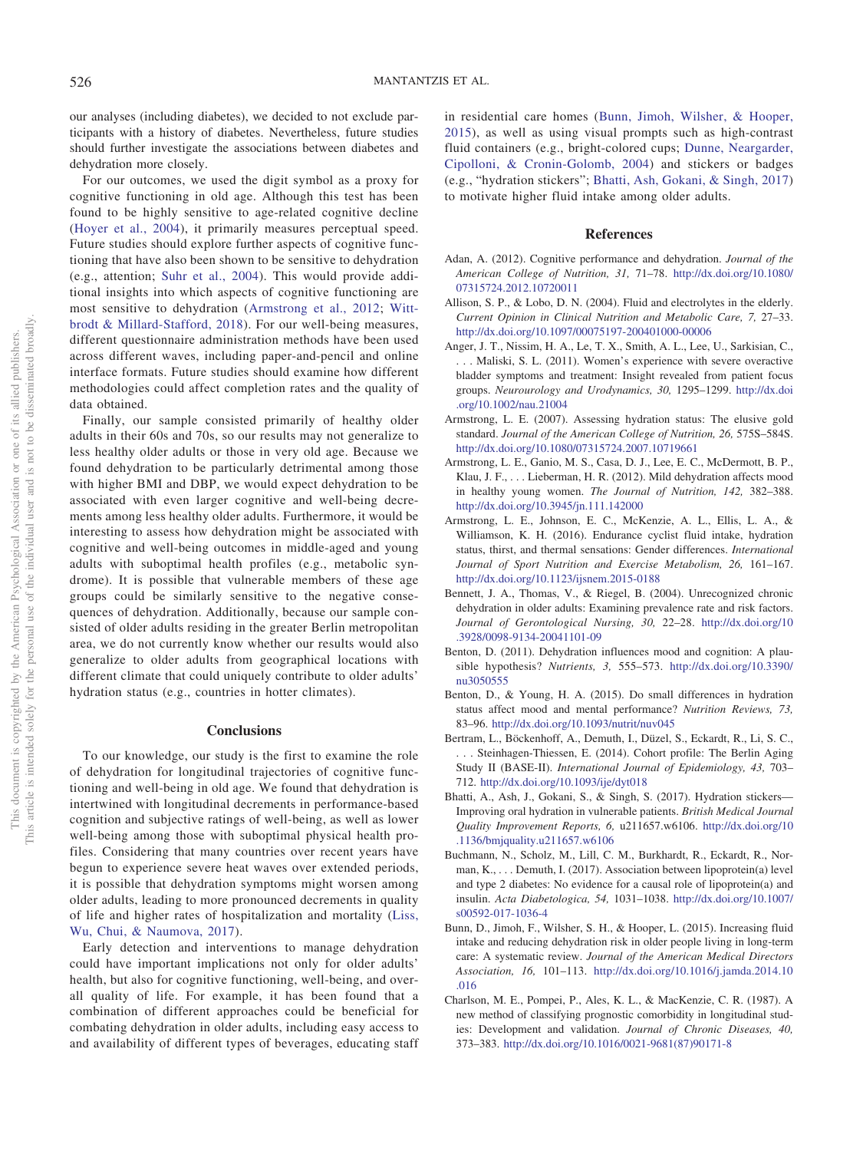our analyses (including diabetes), we decided to not exclude participants with a history of diabetes. Nevertheless, future studies should further investigate the associations between diabetes and dehydration more closely.

For our outcomes, we used the digit symbol as a proxy for cognitive functioning in old age. Although this test has been found to be highly sensitive to age-related cognitive decline [\(Hoyer et al., 2004\)](#page-10-18), it primarily measures perceptual speed. Future studies should explore further aspects of cognitive functioning that have also been shown to be sensitive to dehydration (e.g., attention; [Suhr et al., 2004\)](#page-10-10). This would provide additional insights into which aspects of cognitive functioning are most sensitive to dehydration [\(Armstrong et al., 2012;](#page-9-5) [Witt](#page-11-0)[brodt & Millard-Stafford, 2018\)](#page-11-0). For our well-being measures, different questionnaire administration methods have been used across different waves, including paper-and-pencil and online interface formats. Future studies should examine how different methodologies could affect completion rates and the quality of data obtained.

Finally, our sample consisted primarily of healthy older adults in their 60s and 70s, so our results may not generalize to less healthy older adults or those in very old age. Because we found dehydration to be particularly detrimental among those with higher BMI and DBP, we would expect dehydration to be associated with even larger cognitive and well-being decrements among less healthy older adults. Furthermore, it would be interesting to assess how dehydration might be associated with cognitive and well-being outcomes in middle-aged and young adults with suboptimal health profiles (e.g., metabolic syndrome). It is possible that vulnerable members of these age groups could be similarly sensitive to the negative consequences of dehydration. Additionally, because our sample consisted of older adults residing in the greater Berlin metropolitan area, we do not currently know whether our results would also generalize to older adults from geographical locations with different climate that could uniquely contribute to older adults' hydration status (e.g., countries in hotter climates).

#### **Conclusions**

To our knowledge, our study is the first to examine the role of dehydration for longitudinal trajectories of cognitive functioning and well-being in old age. We found that dehydration is intertwined with longitudinal decrements in performance-based cognition and subjective ratings of well-being, as well as lower well-being among those with suboptimal physical health profiles. Considering that many countries over recent years have begun to experience severe heat waves over extended periods, it is possible that dehydration symptoms might worsen among older adults, leading to more pronounced decrements in quality of life and higher rates of hospitalization and mortality [\(Liss,](#page-10-32) [Wu, Chui, & Naumova, 2017\)](#page-10-32).

Early detection and interventions to manage dehydration could have important implications not only for older adults' health, but also for cognitive functioning, well-being, and overall quality of life. For example, it has been found that a combination of different approaches could be beneficial for combating dehydration in older adults, including easy access to and availability of different types of beverages, educating staff in residential care homes [\(Bunn, Jimoh, Wilsher, & Hooper,](#page-9-12) [2015\)](#page-9-12), as well as using visual prompts such as high-contrast fluid containers (e.g., bright-colored cups; [Dunne, Neargarder,](#page-10-33) [Cipolloni, & Cronin-Golomb, 2004\)](#page-10-33) and stickers or badges (e.g., "hydration stickers"; [Bhatti, Ash, Gokani, & Singh, 2017\)](#page-9-13) to motivate higher fluid intake among older adults.

### **References**

- <span id="page-9-0"></span>Adan, A. (2012). Cognitive performance and dehydration. *Journal of the American College of Nutrition, 31,* 71–78. [http://dx.doi.org/10.1080/](http://dx.doi.org/10.1080/07315724.2012.10720011) [07315724.2012.10720011](http://dx.doi.org/10.1080/07315724.2012.10720011)
- <span id="page-9-2"></span>Allison, S. P., & Lobo, D. N. (2004). Fluid and electrolytes in the elderly. *Current Opinion in Clinical Nutrition and Metabolic Care, 7,* 27–33. <http://dx.doi.org/10.1097/00075197-200401000-00006>
- <span id="page-9-3"></span>Anger, J. T., Nissim, H. A., Le, T. X., Smith, A. L., Lee, U., Sarkisian, C., . . . Maliski, S. L. (2011). Women's experience with severe overactive bladder symptoms and treatment: Insight revealed from patient focus groups. *Neurourology and Urodynamics, 30,* 1295–1299. [http://dx.doi](http://dx.doi.org/10.1002/nau.21004) [.org/10.1002/nau.21004](http://dx.doi.org/10.1002/nau.21004)
- <span id="page-9-8"></span>Armstrong, L. E. (2007). Assessing hydration status: The elusive gold standard. *Journal of the American College of Nutrition, 26,* 575S–584S. <http://dx.doi.org/10.1080/07315724.2007.10719661>
- <span id="page-9-5"></span>Armstrong, L. E., Ganio, M. S., Casa, D. J., Lee, E. C., McDermott, B. P., Klau, J. F.,... Lieberman, H. R. (2012). Mild dehydration affects mood in healthy young women. *The Journal of Nutrition, 142,* 382–388. <http://dx.doi.org/10.3945/jn.111.142000>
- <span id="page-9-6"></span>Armstrong, L. E., Johnson, E. C., McKenzie, A. L., Ellis, L. A., & Williamson, K. H. (2016). Endurance cyclist fluid intake, hydration status, thirst, and thermal sensations: Gender differences. *International Journal of Sport Nutrition and Exercise Metabolism, 26,* 161–167. <http://dx.doi.org/10.1123/ijsnem.2015-0188>
- <span id="page-9-4"></span>Bennett, J. A., Thomas, V., & Riegel, B. (2004). Unrecognized chronic dehydration in older adults: Examining prevalence rate and risk factors. *Journal of Gerontological Nursing, 30,* 22–28. [http://dx.doi.org/10](http://dx.doi.org/10.3928/0098-9134-20041101-09) [.3928/0098-9134-20041101-09](http://dx.doi.org/10.3928/0098-9134-20041101-09)
- <span id="page-9-7"></span>Benton, D. (2011). Dehydration influences mood and cognition: A plausible hypothesis? *Nutrients, 3,* 555–573. [http://dx.doi.org/10.3390/](http://dx.doi.org/10.3390/nu3050555) [nu3050555](http://dx.doi.org/10.3390/nu3050555)
- <span id="page-9-1"></span>Benton, D., & Young, H. A. (2015). Do small differences in hydration status affect mood and mental performance? *Nutrition Reviews, 73,* 83–96. <http://dx.doi.org/10.1093/nutrit/nuv045>
- <span id="page-9-9"></span>Bertram, L., Böckenhoff, A., Demuth, I., Düzel, S., Eckardt, R., Li, S. C., . . . Steinhagen-Thiessen, E. (2014). Cohort profile: The Berlin Aging Study II (BASE-II). *International Journal of Epidemiology, 43,* 703– 712. <http://dx.doi.org/10.1093/ije/dyt018>
- <span id="page-9-13"></span>Bhatti, A., Ash, J., Gokani, S., & Singh, S. (2017). Hydration stickers— Improving oral hydration in vulnerable patients. *British Medical Journal Quality Improvement Reports, 6,* u211657.w6106. [http://dx.doi.org/10](http://dx.doi.org/10.1136/bmjquality.u211657.w6106) [.1136/bmjquality.u211657.w6106](http://dx.doi.org/10.1136/bmjquality.u211657.w6106)
- <span id="page-9-10"></span>Buchmann, N., Scholz, M., Lill, C. M., Burkhardt, R., Eckardt, R., Norman, K.,... Demuth, I. (2017). Association between lipoprotein(a) level and type 2 diabetes: No evidence for a causal role of lipoprotein(a) and insulin. *Acta Diabetologica, 54,* 1031–1038. [http://dx.doi.org/10.1007/](http://dx.doi.org/10.1007/s00592-017-1036-4) [s00592-017-1036-4](http://dx.doi.org/10.1007/s00592-017-1036-4)
- <span id="page-9-12"></span>Bunn, D., Jimoh, F., Wilsher, S. H., & Hooper, L. (2015). Increasing fluid intake and reducing dehydration risk in older people living in long-term care: A systematic review. *Journal of the American Medical Directors Association, 16,* 101–113. [http://dx.doi.org/10.1016/j.jamda.2014.10](http://dx.doi.org/10.1016/j.jamda.2014.10.016) [.016](http://dx.doi.org/10.1016/j.jamda.2014.10.016)
- <span id="page-9-11"></span>Charlson, M. E., Pompei, P., Ales, K. L., & MacKenzie, C. R. (1987). A new method of classifying prognostic comorbidity in longitudinal studies: Development and validation. *Journal of Chronic Diseases, 40,* 373–383. [http://dx.doi.org/10.1016/0021-9681\(87\)90171-8](http://dx.doi.org/10.1016/0021-9681%2887%2990171-8)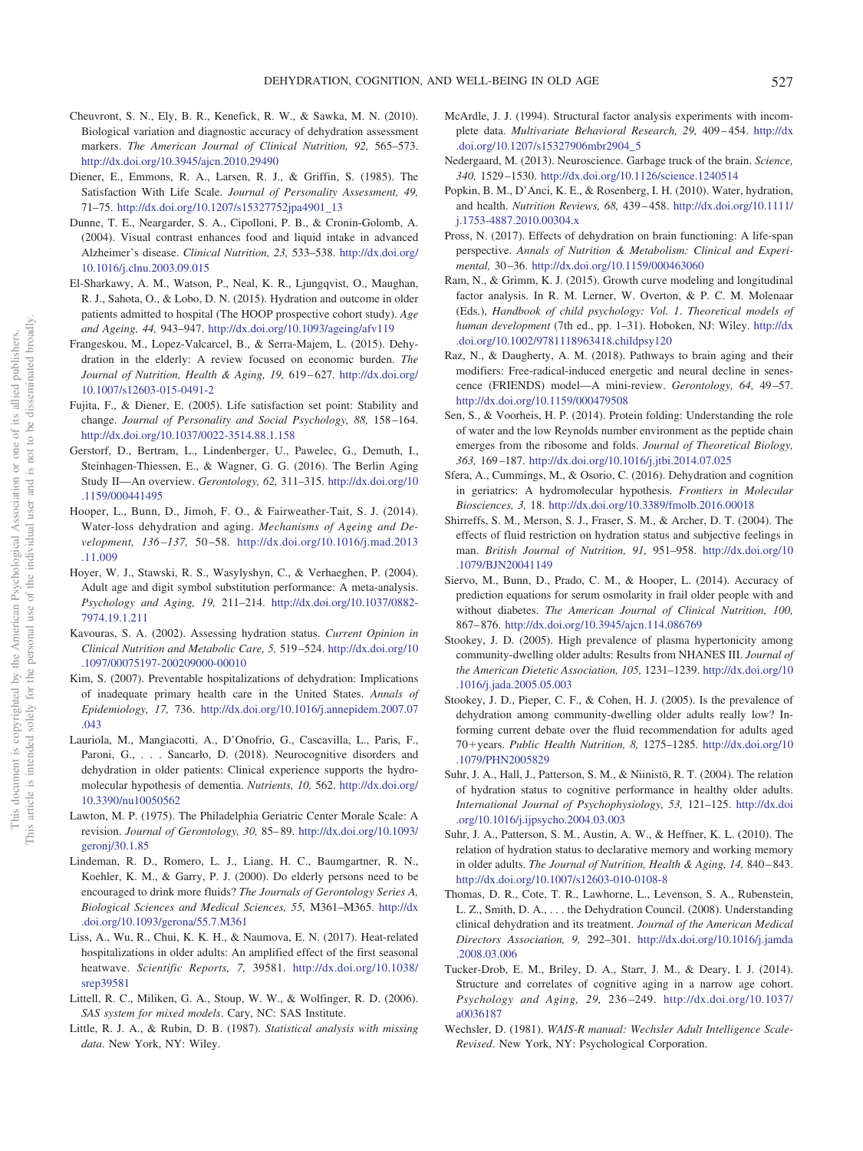- <span id="page-10-24"></span>Cheuvront, S. N., Ely, B. R., Kenefick, R. W., & Sawka, M. N. (2010). Biological variation and diagnostic accuracy of dehydration assessment markers. *The American Journal of Clinical Nutrition, 92,* 565–573. <http://dx.doi.org/10.3945/ajcn.2010.29490>
- <span id="page-10-20"></span>Diener, E., Emmons, R. A., Larsen, R. J., & Griffin, S. (1985). The Satisfaction With Life Scale. *Journal of Personality Assessment, 49,* 71–75. [http://dx.doi.org/10.1207/s15327752jpa4901\\_13](http://dx.doi.org/10.1207/s15327752jpa4901_13)
- <span id="page-10-33"></span>Dunne, T. E., Neargarder, S. A., Cipolloni, P. B., & Cronin-Golomb, A. (2004). Visual contrast enhances food and liquid intake in advanced Alzheimer's disease. *Clinical Nutrition, 23,* 533–538. [http://dx.doi.org/](http://dx.doi.org/10.1016/j.clnu.2003.09.015) [10.1016/j.clnu.2003.09.015](http://dx.doi.org/10.1016/j.clnu.2003.09.015)
- <span id="page-10-4"></span>El-Sharkawy, A. M., Watson, P., Neal, K. R., Ljungqvist, O., Maughan, R. J., Sahota, O., & Lobo, D. N. (2015). Hydration and outcome in older patients admitted to hospital (The HOOP prospective cohort study). *Age and Ageing, 44,* 943–947. <http://dx.doi.org/10.1093/ageing/afv119>
- <span id="page-10-7"></span>Frangeskou, M., Lopez-Valcarcel, B., & Serra-Majem, L. (2015). Dehydration in the elderly: A review focused on economic burden. *The Journal of Nutrition, Health & Aging, 19,* 619–627. [http://dx.doi.org/](http://dx.doi.org/10.1007/s12603-015-0491-2) [10.1007/s12603-015-0491-2](http://dx.doi.org/10.1007/s12603-015-0491-2)
- <span id="page-10-21"></span>Fujita, F., & Diener, E. (2005). Life satisfaction set point: Stability and change. *Journal of Personality and Social Psychology, 88,* 158–164. <http://dx.doi.org/10.1037/0022-3514.88.1.158>
- <span id="page-10-23"></span>Gerstorf, D., Bertram, L., Lindenberger, U., Pawelec, G., Demuth, I., Steinhagen-Thiessen, E., & Wagner, G. G. (2016). The Berlin Aging Study II—An overview. *Gerontology, 62,* 311–315. [http://dx.doi.org/10](http://dx.doi.org/10.1159/000441495) [.1159/000441495](http://dx.doi.org/10.1159/000441495)
- <span id="page-10-26"></span>Hooper, L., Bunn, D., Jimoh, F. O., & Fairweather-Tait, S. J. (2014). Water-loss dehydration and aging. *Mechanisms of Ageing and Development, 136 –137,* 50–58. [http://dx.doi.org/10.1016/j.mad.2013](http://dx.doi.org/10.1016/j.mad.2013.11.009) [.11.009](http://dx.doi.org/10.1016/j.mad.2013.11.009)
- <span id="page-10-18"></span>Hoyer, W. J., Stawski, R. S., Wasylyshyn, C., & Verhaeghen, P. (2004). Adult age and digit symbol substitution performance: A meta-analysis. *Psychology and Aging, 19,* 211–214. [http://dx.doi.org/10.1037/0882-](http://dx.doi.org/10.1037/0882-7974.19.1.211) [7974.19.1.211](http://dx.doi.org/10.1037/0882-7974.19.1.211)
- <span id="page-10-15"></span>Kavouras, S. A. (2002). Assessing hydration status. *Current Opinion in Clinical Nutrition and Metabolic Care, 5,* 519–524. [http://dx.doi.org/10](http://dx.doi.org/10.1097/00075197-200209000-00010) [.1097/00075197-200209000-00010](http://dx.doi.org/10.1097/00075197-200209000-00010)
- <span id="page-10-0"></span>Kim, S. (2007). Preventable hospitalizations of dehydration: Implications of inadequate primary health care in the United States. *Annals of Epidemiology, 17,* 736. [http://dx.doi.org/10.1016/j.annepidem.2007.07](http://dx.doi.org/10.1016/j.annepidem.2007.07.043) [.043](http://dx.doi.org/10.1016/j.annepidem.2007.07.043)
- <span id="page-10-14"></span>Lauriola, M., Mangiacotti, A., D'Onofrio, G., Cascavilla, L., Paris, F., Paroni, G., ... Sancarlo, D. (2018). Neurocognitive disorders and dehydration in older patients: Clinical experience supports the hydromolecular hypothesis of dementia. *Nutrients, 10,* 562. [http://dx.doi.org/](http://dx.doi.org/10.3390/nu10050562) [10.3390/nu10050562](http://dx.doi.org/10.3390/nu10050562)
- <span id="page-10-22"></span>Lawton, M. P. (1975). The Philadelphia Geriatric Center Morale Scale: A revision. *Journal of Gerontology, 30,* 85–89. [http://dx.doi.org/10.1093/](http://dx.doi.org/10.1093/geronj/30.1.85) [geronj/30.1.85](http://dx.doi.org/10.1093/geronj/30.1.85)
- <span id="page-10-8"></span>Lindeman, R. D., Romero, L. J., Liang, H. C., Baumgartner, R. N., Koehler, K. M., & Garry, P. J. (2000). Do elderly persons need to be encouraged to drink more fluids? *The Journals of Gerontology Series A, Biological Sciences and Medical Sciences, 55,* M361–M365. [http://dx](http://dx.doi.org/10.1093/gerona/55.7.M361) [.doi.org/10.1093/gerona/55.7.M361](http://dx.doi.org/10.1093/gerona/55.7.M361)
- <span id="page-10-32"></span>Liss, A., Wu, R., Chui, K. K. H., & Naumova, E. N. (2017). Heat-related hospitalizations in older adults: An amplified effect of the first seasonal heatwave. *Scientific Reports, 7,* 39581. [http://dx.doi.org/10.1038/](http://dx.doi.org/10.1038/srep39581) [srep39581](http://dx.doi.org/10.1038/srep39581)
- <span id="page-10-27"></span>Littell, R. C., Miliken, G. A., Stoup, W. W., & Wolfinger, R. D. (2006). *SAS system for mixed models*. Cary, NC: SAS Institute.
- <span id="page-10-28"></span>Little, R. J. A., & Rubin, D. B. (1987). *Statistical analysis with missing data*. New York, NY: Wiley.
- <span id="page-10-29"></span>McArdle, J. J. (1994). Structural factor analysis experiments with incomplete data. *Multivariate Behavioral Research, 29,* 409–454. [http://dx](http://dx.doi.org/10.1207/s15327906mbr2904_5) [.doi.org/10.1207/s15327906mbr2904\\_5](http://dx.doi.org/10.1207/s15327906mbr2904_5)
- <span id="page-10-13"></span>Nedergaard, M. (2013). Neuroscience. Garbage truck of the brain. *Science, 340,* 1529–1530. <http://dx.doi.org/10.1126/science.1240514>
- <span id="page-10-2"></span>Popkin, B. M., D'Anci, K. E., & Rosenberg, I. H. (2010). Water, hydration, and health. *Nutrition Reviews, 68,* 439–458. [http://dx.doi.org/10.1111/](http://dx.doi.org/10.1111/j.1753-4887.2010.00304.x) [j.1753-4887.2010.00304.x](http://dx.doi.org/10.1111/j.1753-4887.2010.00304.x)
- <span id="page-10-5"></span>Pross, N. (2017). Effects of dehydration on brain functioning: A life-span perspective. *Annals of Nutrition & Metabolism: Clinical and Experimental,* 30–36. <http://dx.doi.org/10.1159/000463060>
- <span id="page-10-25"></span>Ram, N., & Grimm, K. J. (2015). Growth curve modeling and longitudinal factor analysis. In R. M. Lerner, W. Overton, & P. C. M. Molenaar (Eds.), *Handbook of child psychology: Vol. 1*. *Theoretical models of human development* (7th ed., pp. 1–31). Hoboken, NJ: Wiley. [http://dx](http://dx.doi.org/10.1002/9781118963418.childpsy120) [.doi.org/10.1002/9781118963418.childpsy120](http://dx.doi.org/10.1002/9781118963418.childpsy120)
- <span id="page-10-30"></span>Raz, N., & Daugherty, A. M. (2018). Pathways to brain aging and their modifiers: Free-radical-induced energetic and neural decline in senescence (FRIENDS) model—A mini-review. *Gerontology, 64,* 49–57. <http://dx.doi.org/10.1159/000479508>
- <span id="page-10-12"></span>Sen, S., & Voorheis, H. P. (2014). Protein folding: Understanding the role of water and the low Reynolds number environment as the peptide chain emerges from the ribosome and folds. *Journal of Theoretical Biology, 363,* 169–187. <http://dx.doi.org/10.1016/j.jtbi.2014.07.025>
- <span id="page-10-6"></span>Sfera, A., Cummings, M., & Osorio, C. (2016). Dehydration and cognition in geriatrics: A hydromolecular hypothesis. *Frontiers in Molecular Biosciences, 3,* 18. <http://dx.doi.org/10.3389/fmolb.2016.00018>
- <span id="page-10-9"></span>Shirreffs, S. M., Merson, S. J., Fraser, S. M., & Archer, D. T. (2004). The effects of fluid restriction on hydration status and subjective feelings in man. *British Journal of Nutrition, 91,* 951–958. [http://dx.doi.org/10](http://dx.doi.org/10.1079/BJN20041149) [.1079/BJN20041149](http://dx.doi.org/10.1079/BJN20041149)
- <span id="page-10-16"></span>Siervo, M., Bunn, D., Prado, C. M., & Hooper, L. (2014). Accuracy of prediction equations for serum osmolarity in frail older people with and without diabetes. *The American Journal of Clinical Nutrition, 100,* 867–876. <http://dx.doi.org/10.3945/ajcn.114.086769>
- <span id="page-10-3"></span>Stookey, J. D. (2005). High prevalence of plasma hypertonicity among community-dwelling older adults: Results from NHANES III. *Journal of the American Dietetic Association, 105,* 1231–1239. [http://dx.doi.org/10](http://dx.doi.org/10.1016/j.jada.2005.05.003) [.1016/j.jada.2005.05.003](http://dx.doi.org/10.1016/j.jada.2005.05.003)
- <span id="page-10-31"></span>Stookey, J. D., Pieper, C. F., & Cohen, H. J. (2005). Is the prevalence of dehydration among community-dwelling older adults really low? Informing current debate over the fluid recommendation for adults aged 70+years. *Public Health Nutrition, 8, 1275-1285*. [http://dx.doi.org/10](http://dx.doi.org/10.1079/PHN2005829) [.1079/PHN2005829](http://dx.doi.org/10.1079/PHN2005829)
- <span id="page-10-10"></span>Suhr, J. A., Hall, J., Patterson, S. M., & Niinistö, R. T. (2004). The relation of hydration status to cognitive performance in healthy older adults. *International Journal of Psychophysiology, 53,* 121–125. [http://dx.doi](http://dx.doi.org/10.1016/j.ijpsycho.2004.03.003) [.org/10.1016/j.ijpsycho.2004.03.003](http://dx.doi.org/10.1016/j.ijpsycho.2004.03.003)
- <span id="page-10-11"></span>Suhr, J. A., Patterson, S. M., Austin, A. W., & Heffner, K. L. (2010). The relation of hydration status to declarative memory and working memory in older adults. *The Journal of Nutrition, Health & Aging, 14,* 840–843. <http://dx.doi.org/10.1007/s12603-010-0108-8>
- <span id="page-10-1"></span>Thomas, D. R., Cote, T. R., Lawhorne, L., Levenson, S. A., Rubenstein, L. Z., Smith, D. A., . . . the Dehydration Council. (2008). Understanding clinical dehydration and its treatment. *Journal of the American Medical Directors Association, 9,* 292–301. [http://dx.doi.org/10.1016/j.jamda](http://dx.doi.org/10.1016/j.jamda.2008.03.006) [.2008.03.006](http://dx.doi.org/10.1016/j.jamda.2008.03.006)
- <span id="page-10-19"></span>Tucker-Drob, E. M., Briley, D. A., Starr, J. M., & Deary, I. J. (2014). Structure and correlates of cognitive aging in a narrow age cohort. *Psychology and Aging, 29,* 236–249. [http://dx.doi.org/10.1037/](http://dx.doi.org/10.1037/a0036187) [a0036187](http://dx.doi.org/10.1037/a0036187)
- <span id="page-10-17"></span>Wechsler, D. (1981). *WAIS-R manual: Wechsler Adult Intelligence Scale-Revised*. New York, NY: Psychological Corporation.